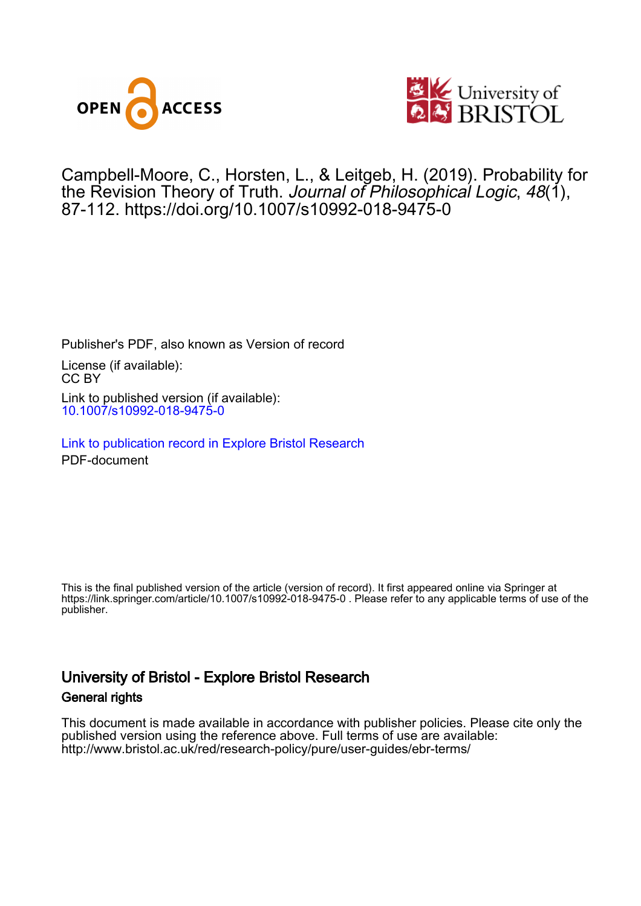



Campbell-Moore, C. , Horsten, L., & Leitgeb, H. (2019). Probability for the Revision Theory of Truth. Journal of Philosophical Logic, 48(1), 87-112. <https://doi.org/10.1007/s10992-018-9475-0>

Publisher's PDF, also known as Version of record License (if available): CC BY Link to published version (if available): [10.1007/s10992-018-9475-0](https://doi.org/10.1007/s10992-018-9475-0)

[Link to publication record in Explore Bristol Research](https://research-information.bris.ac.uk/en/publications/8b62b62b-7518-4d01-8df7-3430302c2150) PDF-document

This is the final published version of the article (version of record). It first appeared online via Springer at https://link.springer.com/article/10.1007/s10992-018-9475-0 . Please refer to any applicable terms of use of the publisher.

# University of Bristol - Explore Bristol Research General rights

This document is made available in accordance with publisher policies. Please cite only the published version using the reference above. Full terms of use are available: http://www.bristol.ac.uk/red/research-policy/pure/user-guides/ebr-terms/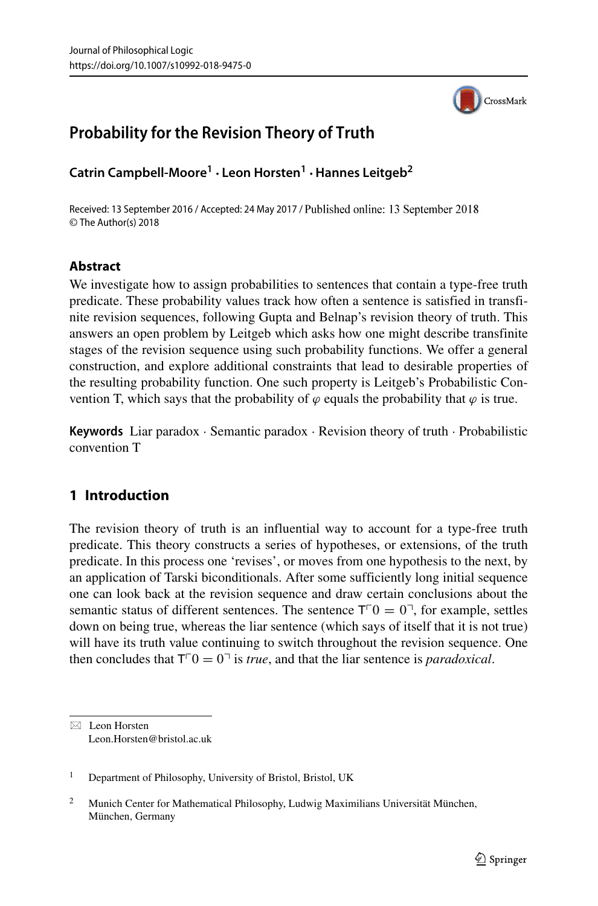

## **Probability for the Revision Theory of Truth**

**Catrin Campbell-Moore1 · Leon Horsten<sup>1</sup> ·Hannes Leitgeb<sup>2</sup>**

Received: 13 September 2016 / Accepted: 24 May 2017 / Published online: 13 September 2018 © The Author(s) 2018

## **Abstract**

We investigate how to assign probabilities to sentences that contain a type-free truth predicate. These probability values track how often a sentence is satisfied in transfinite revision sequences, following Gupta and Belnap's revision theory of truth. This answers an open problem by Leitgeb which asks how one might describe transfinite stages of the revision sequence using such probability functions. We offer a general construction, and explore additional constraints that lead to desirable properties of the resulting probability function. One such property is Leitgeb's Probabilistic Convention T, which says that the probability of  $\varphi$  equals the probability that  $\varphi$  is true.

**Keywords** Liar paradox · Semantic paradox · Revision theory of truth · Probabilistic convention T

## **1 Introduction**

The revision theory of truth is an influential way to account for a type-free truth predicate. This theory constructs a series of hypotheses, or extensions, of the truth predicate. In this process one 'revises', or moves from one hypothesis to the next, by an application of Tarski biconditionals. After some sufficiently long initial sequence one can look back at the revision sequence and draw certain conclusions about the semantic status of different sentences. The sentence  $T^{\dagger}0 = 0^{\dagger}$ , for example, settles down on being true, whereas the liar sentence (which says of itself that it is not true) will have its truth value continuing to switch throughout the revision sequence. One then concludes that  $T^{\top}0 = 0^{\top}$  is *true*, and that the liar sentence is *paradoxical*.

<sup>1</sup> Department of Philosophy, University of Bristol, Bristol, UK

<sup>-</sup> Leon Horsten [Leon.Horsten@bristol.ac.uk](mailto: Leon.Horsten@bristol.ac.uk)

Munich Center for Mathematical Philosophy, Ludwig Maximilians Universität München, München, Germany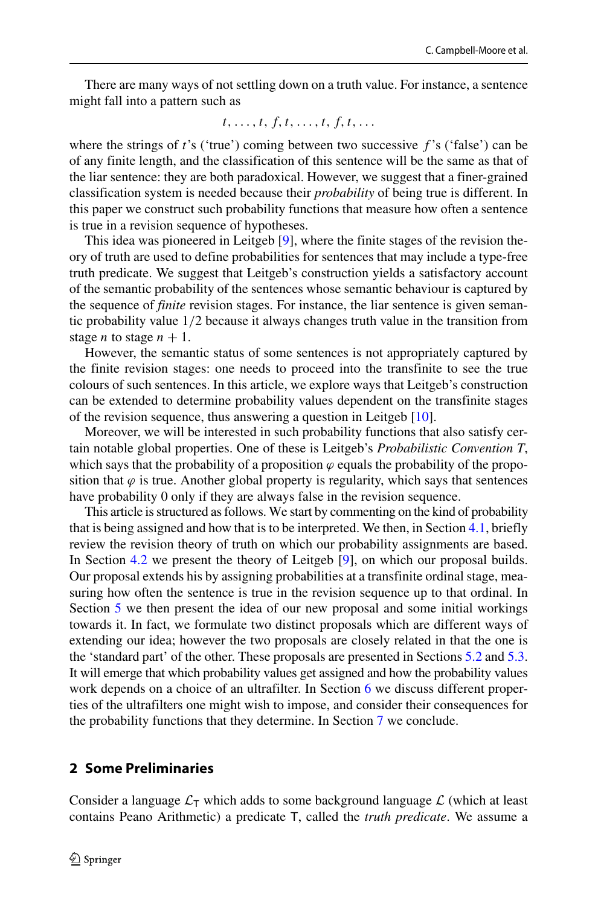There are many ways of not settling down on a truth value. For instance, a sentence might fall into a pattern such as

$$
t,\ldots,t,\,f,\,t,\,\ldots,\,t,\,f,\,t,\,\ldots
$$

where the strings of *t*'s ('true') coming between two successive *f* 's ('false') can be of any finite length, and the classification of this sentence will be the same as that of the liar sentence: they are both paradoxical. However, we suggest that a finer-grained classification system is needed because their *probability* of being true is different. In this paper we construct such probability functions that measure how often a sentence is true in a revision sequence of hypotheses.

This idea was pioneered in Leitgeb [\[9\]](#page-26-0), where the finite stages of the revision theory of truth are used to define probabilities for sentences that may include a type-free truth predicate. We suggest that Leitgeb's construction yields a satisfactory account of the semantic probability of the sentences whose semantic behaviour is captured by the sequence of *finite* revision stages. For instance, the liar sentence is given semantic probability value 1*/*2 because it always changes truth value in the transition from stage *n* to stage  $n + 1$ .

However, the semantic status of some sentences is not appropriately captured by the finite revision stages: one needs to proceed into the transfinite to see the true colours of such sentences. In this article, we explore ways that Leitgeb's construction can be extended to determine probability values dependent on the transfinite stages of the revision sequence, thus answering a question in Leitgeb [\[10\]](#page-26-1).

Moreover, we will be interested in such probability functions that also satisfy certain notable global properties. One of these is Leitgeb's *Probabilistic Convention T*, which says that the probability of a proposition  $\varphi$  equals the probability of the proposition that  $\varphi$  is true. Another global property is regularity, which says that sentences have probability 0 only if they are always false in the revision sequence.

This article is structured as follows. We start by commenting on the kind of probability that is being assigned and how that is to be interpreted. We then, in Section [4.1,](#page-4-0) briefly review the revision theory of truth on which our probability assignments are based. In Section [4.2](#page-5-0) we present the theory of Leitgeb [\[9\]](#page-26-0), on which our proposal builds. Our proposal extends his by assigning probabilities at a transfinite ordinal stage, measuring how often the sentence is true in the revision sequence up to that ordinal. In Section [5](#page-7-0) we then present the idea of our new proposal and some initial workings towards it. In fact, we formulate two distinct proposals which are different ways of extending our idea; however the two proposals are closely related in that the one is the 'standard part' of the other. These proposals are presented in Sections [5.2](#page-9-0) and [5.3.](#page-9-1) It will emerge that which probability values get assigned and how the probability values work depends on a choice of an ultrafilter. In Section [6](#page-11-0) we discuss different properties of the ultrafilters one might wish to impose, and consider their consequences for the probability functions that they determine. In Section [7](#page-24-0) we conclude.

## **2 Some Preliminaries**

Consider a language  $\mathcal{L}_T$  which adds to some background language  $\mathcal{L}$  (which at least contains Peano Arithmetic) a predicate T, called the *truth predicate*. We assume a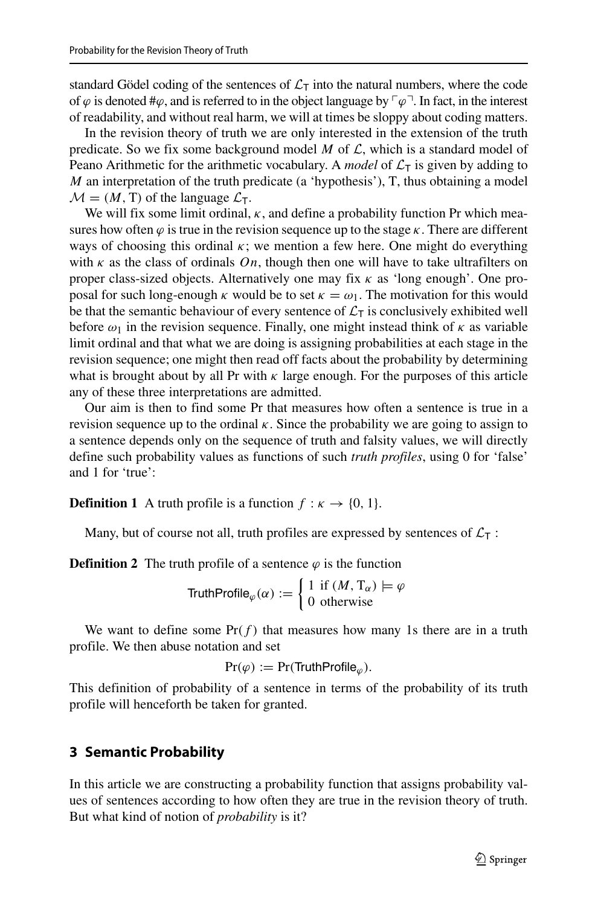standard Gödel coding of the sentences of  $\mathcal{L}_{\mathsf{T}}$  into the natural numbers, where the code of  $\varphi$  is denoted # $\varphi$ , and is referred to in the object language by  $\lceil \varphi \rceil$ . In fact, in the interest of readability, and without real harm, we will at times be sloppy about coding matters.

In the revision theory of truth we are only interested in the extension of the truth predicate. So we fix some background model  $M$  of  $\mathcal{L}$ , which is a standard model of Peano Arithmetic for the arithmetic vocabulary. A *model* of  $\mathcal{L}_T$  is given by adding to *M* an interpretation of the truth predicate (a 'hypothesis'), T, thus obtaining a model  $M = (M, T)$  of the language  $\mathcal{L}_T$ .

We will fix some limit ordinal, *κ*, and define a probability function Pr which measures how often  $\varphi$  is true in the revision sequence up to the stage  $\kappa$ . There are different ways of choosing this ordinal  $\kappa$ ; we mention a few here. One might do everything with  $\kappa$  as the class of ordinals *On*, though then one will have to take ultrafilters on proper class-sized objects. Alternatively one may fix *κ* as 'long enough'. One proposal for such long-enough  $\kappa$  would be to set  $\kappa = \omega_1$ . The motivation for this would be that the semantic behaviour of every sentence of  $\mathcal{L}_T$  is conclusively exhibited well before  $\omega_1$  in the revision sequence. Finally, one might instead think of  $\kappa$  as variable limit ordinal and that what we are doing is assigning probabilities at each stage in the revision sequence; one might then read off facts about the probability by determining what is brought about by all Pr with  $\kappa$  large enough. For the purposes of this article any of these three interpretations are admitted.

Our aim is then to find some Pr that measures how often a sentence is true in a revision sequence up to the ordinal  $\kappa$ . Since the probability we are going to assign to a sentence depends only on the sequence of truth and falsity values, we will directly define such probability values as functions of such *truth profiles*, using 0 for 'false' and 1 for 'true':

**Definition 1** A truth profile is a function  $f : \kappa \to \{0, 1\}.$ 

Many, but of course not all, truth profiles are expressed by sentences of  $\mathcal{L}_{\tau}$ :

**Definition 2** The truth profile of a sentence  $\varphi$  is the function

TruthProfile<sub> $\varphi$ </sub>( $\alpha$ ) :=  $\begin{cases} 1 & \text{if } (M, T_\alpha) \models \varphi \\ 0 & \text{otherwise} \end{cases}$ 0 otherwise

We want to define some  $Pr(f)$  that measures how many 1s there are in a truth profile. We then abuse notation and set

$$
Pr(\varphi) := Pr(\mathsf{TruthProfile}_{\varphi}).
$$

This definition of probability of a sentence in terms of the probability of its truth profile will henceforth be taken for granted.

### **3 Semantic Probability**

In this article we are constructing a probability function that assigns probability values of sentences according to how often they are true in the revision theory of truth. But what kind of notion of *probability* is it?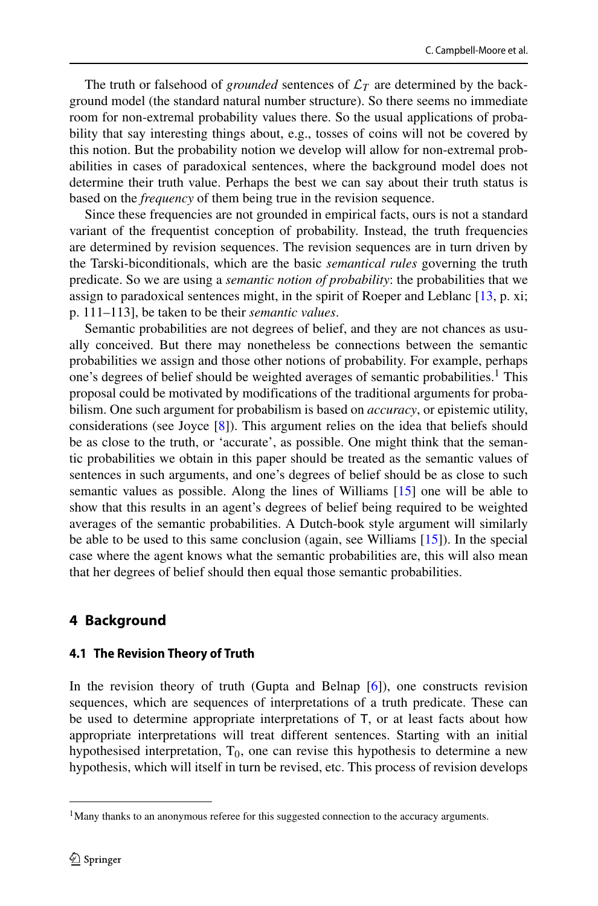The truth or falsehood of *grounded* sentences of  $\mathcal{L}_T$  are determined by the background model (the standard natural number structure). So there seems no immediate room for non-extremal probability values there. So the usual applications of probability that say interesting things about, e.g., tosses of coins will not be covered by this notion. But the probability notion we develop will allow for non-extremal probabilities in cases of paradoxical sentences, where the background model does not determine their truth value. Perhaps the best we can say about their truth status is based on the *frequency* of them being true in the revision sequence.

Since these frequencies are not grounded in empirical facts, ours is not a standard variant of the frequentist conception of probability. Instead, the truth frequencies are determined by revision sequences. The revision sequences are in turn driven by the Tarski-biconditionals, which are the basic *semantical rules* governing the truth predicate. So we are using a *semantic notion of probability*: the probabilities that we assign to paradoxical sentences might, in the spirit of Roeper and Leblanc [\[13,](#page-26-2) p. xi; p. 111–113], be taken to be their *semantic values*.

Semantic probabilities are not degrees of belief, and they are not chances as usually conceived. But there may nonetheless be connections between the semantic probabilities we assign and those other notions of probability. For example, perhaps one's degrees of belief should be weighted averages of semantic probabilities.<sup>[1](#page-4-1)</sup> This proposal could be motivated by modifications of the traditional arguments for probabilism. One such argument for probabilism is based on *accuracy*, or epistemic utility, considerations (see Joyce [\[8\]](#page-26-3)). This argument relies on the idea that beliefs should be as close to the truth, or 'accurate', as possible. One might think that the semantic probabilities we obtain in this paper should be treated as the semantic values of sentences in such arguments, and one's degrees of belief should be as close to such semantic values as possible. Along the lines of Williams [\[15\]](#page-26-4) one will be able to show that this results in an agent's degrees of belief being required to be weighted averages of the semantic probabilities. A Dutch-book style argument will similarly be able to be used to this same conclusion (again, see Williams [\[15\]](#page-26-4)). In the special case where the agent knows what the semantic probabilities are, this will also mean that her degrees of belief should then equal those semantic probabilities.

## **4 Background**

#### <span id="page-4-0"></span>**4.1 The Revision Theory of Truth**

In the revision theory of truth (Gupta and Belnap [\[6\]](#page-26-5)), one constructs revision sequences, which are sequences of interpretations of a truth predicate. These can be used to determine appropriate interpretations of T, or at least facts about how appropriate interpretations will treat different sentences. Starting with an initial hypothesised interpretation,  $T_0$ , one can revise this hypothesis to determine a new hypothesis, which will itself in turn be revised, etc. This process of revision develops

<span id="page-4-1"></span><sup>&</sup>lt;sup>1</sup>Many thanks to an anonymous referee for this suggested connection to the accuracy arguments.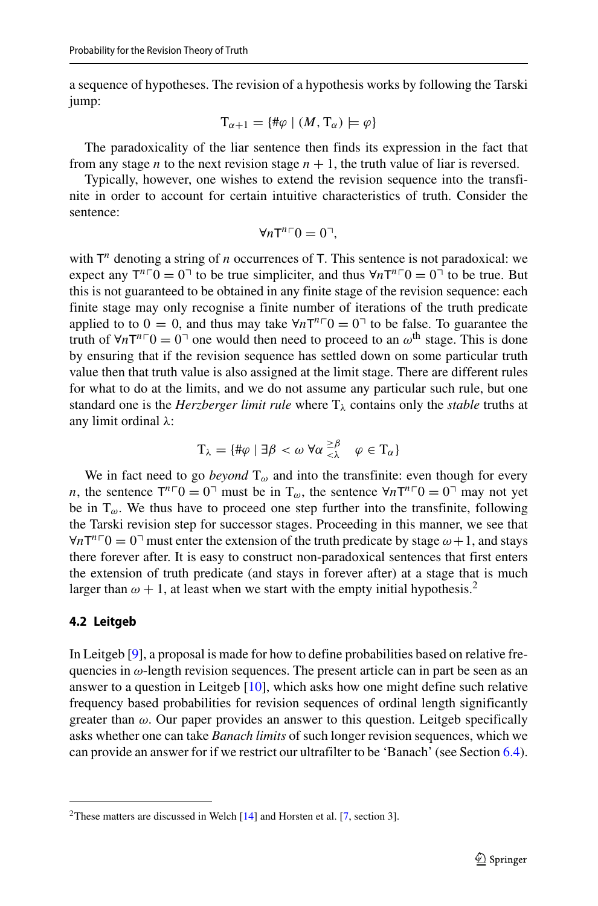a sequence of hypotheses. The revision of a hypothesis works by following the Tarski jump:

$$
\mathrm{T}_{\alpha+1}=\{\#\varphi\mid (M,\mathrm{T}_{\alpha})\models\varphi\}
$$

The paradoxicality of the liar sentence then finds its expression in the fact that from any stage *n* to the next revision stage  $n + 1$ , the truth value of liar is reversed.

Typically, however, one wishes to extend the revision sequence into the transfinite in order to account for certain intuitive characteristics of truth. Consider the sentence:

$$
\forall n\mathsf{T}^{n\sqsubset}0=0^{\sqcap},
$$

with  $T<sup>n</sup>$  denoting a string of *n* occurrences of T. This sentence is not paradoxical: we expect any  $T^{n} \cap T^0 = 0$ <sup> $\cap$ </sup> to be true simpliciter, and thus  $\forall n T^{n} \cap T^0 = 0$ <sup> $\cap$ </sup> to be true. But this is not guaranteed to be obtained in any finite stage of the revision sequence: each finite stage may only recognise a finite number of iterations of the truth predicate applied to to  $0 = 0$ , and thus may take  $\forall n \top^{n} 0 = 0$ <sup> $\top$ </sup> to be false. To guarantee the truth of  $\forall n\mathsf{T}^{n} \mathsf{T}^0 = 0$ <sup>-1</sup> one would then need to proceed to an  $\omega^{\text{th}}$  stage. This is done by ensuring that if the revision sequence has settled down on some particular truth value then that truth value is also assigned at the limit stage. There are different rules for what to do at the limits, and we do not assume any particular such rule, but one standard one is the *Herzberger limit rule* where T*<sup>λ</sup>* contains only the *stable* truths at any limit ordinal *λ*:

$$
\mathrm{T}_{\lambda} = \{ \#\varphi \mid \exists \beta < \omega \; \forall \alpha \stackrel{\geq \beta}{\leq \lambda} \quad \varphi \in \mathrm{T}_{\alpha} \}
$$

We in fact need to go *beyond*  $T_{\omega}$  and into the transfinite: even though for every *n*, the sentence  $T^{n}$ <sup> $\Gamma$ </sup> $0$  =  $0$ <sup> $\Gamma$ </sup> must be in T<sub>ω</sub>, the sentence  $\forall n$ T<sup>*n*</sup> $\Gamma$ </sup> $0$  =  $0$ <sup> $\Gamma$ </sup> may not yet be in  $T_{\omega}$ . We thus have to proceed one step further into the transfinite, following the Tarski revision step for successor stages. Proceeding in this manner, we see that  $\forall n$ T<sup>*n*</sup>  $\Gamma$ </sub>  $0 = 0$ <sup>-</sup> must enter the extension of the truth predicate by stage  $\omega + 1$ , and stays there forever after. It is easy to construct non-paradoxical sentences that first enters the extension of truth predicate (and stays in forever after) at a stage that is much larger than  $\omega + 1$ , at least when we start with the empty initial hypothesis.<sup>[2](#page-5-1)</sup>

#### <span id="page-5-0"></span>**4.2 Leitgeb**

In Leitgeb [\[9\]](#page-26-0), a proposal is made for how to define probabilities based on relative frequencies in *ω*-length revision sequences. The present article can in part be seen as an answer to a question in Leitgeb [\[10\]](#page-26-1), which asks how one might define such relative frequency based probabilities for revision sequences of ordinal length significantly greater than *ω*. Our paper provides an answer to this question. Leitgeb specifically asks whether one can take *Banach limits* of such longer revision sequences, which we can provide an answer for if we restrict our ultrafilter to be 'Banach' (see Section [6.4\)](#page-14-0).

<span id="page-5-1"></span><sup>&</sup>lt;sup>2</sup>These matters are discussed in Welch  $[14]$  and Horsten et al. [\[7,](#page-26-7) section 3].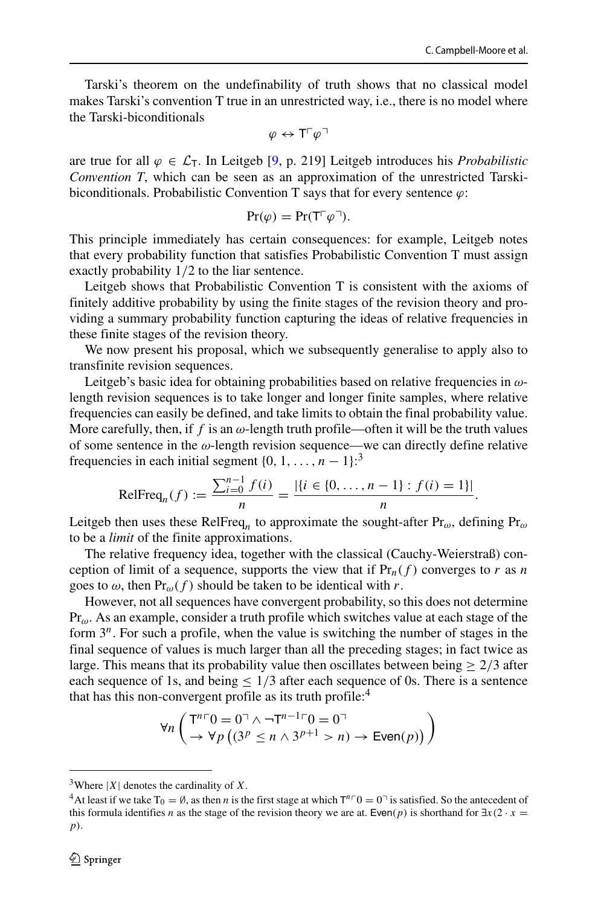Tarski's theorem on the undefinability of truth shows that no classical model makes Tarski's convention T true in an unrestricted way, i.e., there is no model where the Tarski-biconditionals

$$
\varphi \leftrightarrow {\mathsf T}^{\scriptscriptstyle\Gamma}\varphi^{\scriptscriptstyle\top}
$$

are true for all  $\varphi \in \mathcal{L}_T$ . In Leitgeb [\[9,](#page-26-0) p. 219] Leitgeb introduces his *Probabilistic Convention T*, which can be seen as an approximation of the unrestricted Tarskibiconditionals. Probabilistic Convention T says that for every sentence *ϕ*:

$$
\Pr(\varphi) = \Pr(\mathsf{T} \lceil \varphi \rceil).
$$

This principle immediately has certain consequences: for example, Leitgeb notes that every probability function that satisfies Probabilistic Convention T must assign exactly probability 1*/*2 to the liar sentence.

Leitgeb shows that Probabilistic Convention T is consistent with the axioms of finitely additive probability by using the finite stages of the revision theory and providing a summary probability function capturing the ideas of relative frequencies in these finite stages of the revision theory.

We now present his proposal, which we subsequently generalise to apply also to transfinite revision sequences.

Leitgeb's basic idea for obtaining probabilities based on relative frequencies in *ω*length revision sequences is to take longer and longer finite samples, where relative frequencies can easily be defined, and take limits to obtain the final probability value. More carefully, then, if  $f$  is an  $\omega$ -length truth profile—often it will be the truth values of some sentence in the *ω*-length revision sequence—we can directly define relative frequencies in each initial segment  $\{0, 1, \ldots, n - 1\}$ :<sup>[3](#page-6-0)</sup>

$$
\text{RelFreq}_n(f) := \frac{\sum_{i=0}^{n-1} f(i)}{n} = \frac{|\{i \in \{0, \dots, n-1\} : f(i) = 1\}|}{n}.
$$

Leitgeb then uses these RelFreq*<sup>n</sup>* to approximate the sought-after Pr*ω*, defining Pr*<sup>ω</sup>* to be a *limit* of the finite approximations.

The relative frequency idea, together with the classical (Cauchy-Weierstraß) conception of limit of a sequence, supports the view that if  $Pr_n(f)$  converges to *r* as *n* goes to  $\omega$ , then  $Pr_{\omega}(f)$  should be taken to be identical with *r*.

However, not all sequences have convergent probability, so this does not determine Pr*ω*. As an example, consider a truth profile which switches value at each stage of the form 3*n*. For such a profile, when the value is switching the number of stages in the final sequence of values is much larger than all the preceding stages; in fact twice as large. This means that its probability value then oscillates between being  $> 2/3$  after each sequence of 1s, and being  $\leq 1/3$  after each sequence of 0s. There is a sentence that has this non-convergent profile as its truth profile:<sup>[4](#page-6-1)</sup>

$$
\forall n \left( \begin{matrix} T^{n} \ulcorner 0 = 0 \urcorner \land \neg T^{n-1} \ulcorner 0 = 0 \urcorner \\ \to \forall p \left( (3^p \le n \land 3^{p+1} > n) \to \text{Even}(p) \right) \end{matrix} \right)
$$

<span id="page-6-1"></span><span id="page-6-0"></span>

<sup>&</sup>lt;sup>3</sup>Where |*X*| denotes the cardinality of *X*.<br><sup>4</sup>At least if we take T<sub>0</sub> =  $\emptyset$ , as then *n* is the first stage at which T<sup>*n*</sup> Γ0 = 0<sup>¬</sup> is satisfied. So the antecedent of this formula identifies *n* as the stage of the revision theory we are at. Even(*p*) is shorthand for  $\exists x(2 \cdot x =$ *p)*.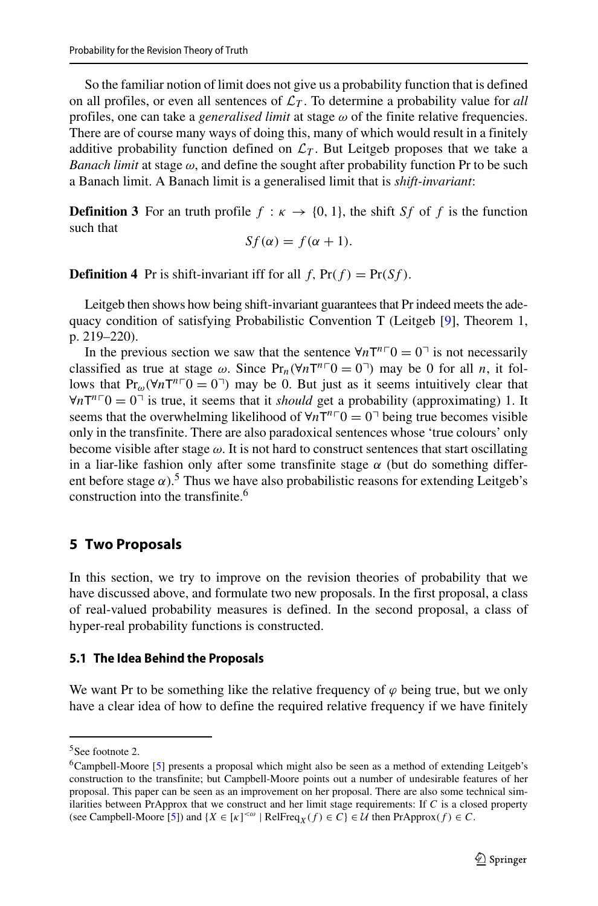So the familiar notion of limit does not give us a probability function that is defined on all profiles, or even all sentences of  $\mathcal{L}_T$ . To determine a probability value for *all* profiles, one can take a *generalised limit* at stage *ω* of the finite relative frequencies. There are of course many ways of doing this, many of which would result in a finitely additive probability function defined on  $\mathcal{L}_T$ . But Leitgeb proposes that we take a *Banach limit* at stage *ω*, and define the sought after probability function Pr to be such a Banach limit. A Banach limit is a generalised limit that is *shift-invariant*:

**Definition 3** For an truth profile  $f : \kappa \to \{0, 1\}$ , the shift *Sf* of *f* is the function such that

$$
Sf(\alpha) = f(\alpha + 1).
$$

**Definition 4** Pr is shift-invariant iff for all  $f$ ,  $Pr(f) = Pr(Sf)$ .

Leitgeb then shows how being shift-invariant guarantees that Pr indeed meets the adequacy condition of satisfying Probabilistic Convention T (Leitgeb [\[9\]](#page-26-0), Theorem 1, p. 219–220).

In the previous section we saw that the sentence  $\forall n \top^n 0 = 0$ <sup> $\top$ </sup> is not necessarily classified as true at stage  $\omega$ . Since  $Pr_n(\forall nT^{n} \cap D = 0)$  may be 0 for all *n*, it follows that  $Pr_{\omega}(\forall nT^{n\top}0 = 0^{\top})$  may be 0. But just as it seems intuitively clear that  $\forall n$ T<sup>n</sup><sup>-</sup>O = 0<sup>-</sup> is true, it seems that it *should* get a probability (approximating) 1. It seems that the overwhelming likelihood of  $\forall n \text{T}^n \ulcorner 0 = 0 \urcorner$  being true becomes visible only in the transfinite. There are also paradoxical sentences whose 'true colours' only become visible after stage *ω*. It is not hard to construct sentences that start oscillating in a liar-like fashion only after some transfinite stage  $\alpha$  (but do something different before stage  $\alpha$ ).<sup>[5](#page-7-1)</sup> Thus we have also probabilistic reasons for extending Leitgeb's construction into the transfinite.<sup>6</sup>

## <span id="page-7-0"></span>**5 Two Proposals**

In this section, we try to improve on the revision theories of probability that we have discussed above, and formulate two new proposals. In the first proposal, a class of real-valued probability measures is defined. In the second proposal, a class of hyper-real probability functions is constructed.

#### **5.1 The Idea Behind the Proposals**

We want Pr to be something like the relative frequency of  $\varphi$  being true, but we only have a clear idea of how to define the required relative frequency if we have finitely

<sup>5</sup>See footnote 2.

<span id="page-7-2"></span><span id="page-7-1"></span><sup>6</sup>Campbell-Moore [\[5\]](#page-26-8) presents a proposal which might also be seen as a method of extending Leitgeb's construction to the transfinite; but Campbell-Moore points out a number of undesirable features of her proposal. This paper can be seen as an improvement on her proposal. There are also some technical similarities between PrApprox that we construct and her limit stage requirements: If *C* is a closed property (see Campbell-Moore [\[5\]](#page-26-8)) and  $\{X \in [\kappa]^{< \omega} \mid \text{RelFreq}_X(f) \in C\} \in \mathcal{U}$  then  $\text{PrApprox}(f) \in C$ .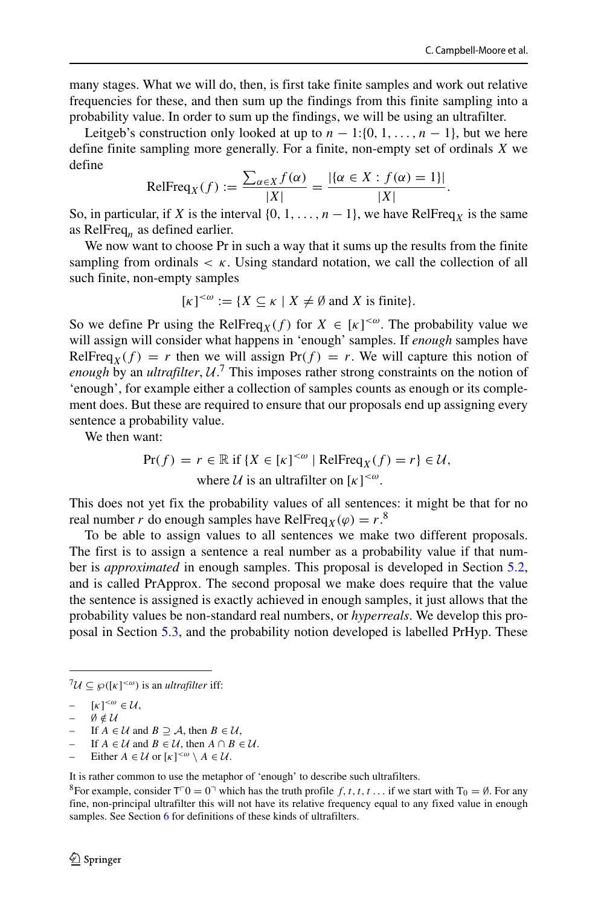many stages. What we will do, then, is first take finite samples and work out relative frequencies for these, and then sum up the findings from this finite sampling into a probability value. In order to sum up the findings, we will be using an ultrafilter.

Leitgeb's construction only looked at up to  $n - 1$ :{0*,* 1*, ..., n* − 1}, but we here define finite sampling more generally. For a finite, non-empty set of ordinals *X* we define

$$
\text{RelFreq}_X(f) := \frac{\sum_{\alpha \in X} f(\alpha)}{|X|} = \frac{|\{\alpha \in X : f(\alpha) = 1\}|}{|X|}.
$$

So, in particular, if *X* is the interval  $\{0, 1, \ldots, n-1\}$ , we have RelFreq<sub>*X*</sub> is the same as RelFreq*<sup>n</sup>* as defined earlier.

We now want to choose Pr in such a way that it sums up the results from the finite sampling from ordinals  $\lt \kappa$ . Using standard notation, we call the collection of all such finite, non-empty samples

$$
[\kappa]^{<\omega} := \{ X \subseteq \kappa \mid X \neq \emptyset \text{ and } X \text{ is finite} \}.
$$

So we define Pr using the RelFreq<sub>*X*</sub>(*f*) for  $X \in [\kappa]^{<\omega}$ . The probability value we will assign will consider what happens in 'enough' samples. If *enough* samples have RelFreq<sub>X</sub>(f) = *r* then we will assign Pr(f) = *r*. We will capture this notion of *enough* by an *ultrafilter*, U. [7](#page-8-0) This imposes rather strong constraints on the notion of 'enough', for example either a collection of samples counts as enough or its complement does. But these are required to ensure that our proposals end up assigning every sentence a probability value.

We then want:

$$
\Pr(f) = r \in \mathbb{R} \text{ if } \{X \in [\kappa]^{<\omega} \mid \text{RelFreq}_X(f) = r\} \in \mathcal{U},
$$
\n
$$
\text{where } \mathcal{U} \text{ is an ultrafilter on } [\kappa]^{<\omega}.
$$

This does not yet fix the probability values of all sentences: it might be that for no real number *r* do enough samples have RelFreq<sub>*X*</sub>( $\varphi$ ) = *r*.<sup>[8](#page-8-1)</sup>

To be able to assign values to all sentences we make two different proposals. The first is to assign a sentence a real number as a probability value if that number is *approximated* in enough samples. This proposal is developed in Section [5.2,](#page-9-0) and is called PrApprox. The second proposal we make does require that the value the sentence is assigned is exactly achieved in enough samples, it just allows that the probability values be non-standard real numbers, or *hyperreals*. We develop this proposal in Section [5.3,](#page-9-1) and the probability notion developed is labelled PrHyp. These

- $\emptyset \notin \mathcal{U}$
- If  $A \in \mathcal{U}$  and  $B \supseteq A$ , then  $B \in \mathcal{U}$ ,
- If  $A \in \mathcal{U}$  and  $B \in \mathcal{U}$ , then  $A \cap B \in \mathcal{U}$ .
- *–* Either *A* ∈ *U* or  $[\kappa]^{<\omega} \setminus A \in \mathcal{U}$ .

It is rather common to use the metaphor of 'enough' to describe such ultrafilters.

<span id="page-8-1"></span><sup>8</sup>For example, consider  $T^{\top}0 = 0^{\top}$  which has the truth profile  $f, t, t, t, \ldots$  if we start with  $T_0 = \emptyset$ . For any fine, non-principal ultrafilter this will not have its relative frequency equal to any fixed value in enough samples. See Section [6](#page-11-0) for definitions of these kinds of ultrafilters.

 $^{7}U \subseteq \wp([k]^{<\omega})$  is an *ultrafilter* iff:

<span id="page-8-0"></span> $[-\quad [\kappa]^{<\omega} \in \mathcal{U},$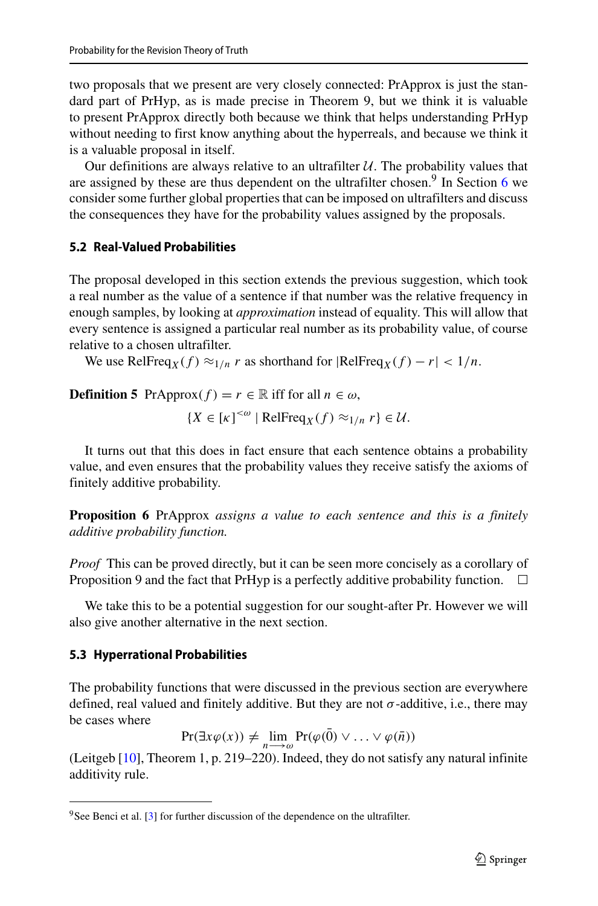two proposals that we present are very closely connected: PrApprox is just the standard part of PrHyp, as is made precise in Theorem 9, but we think it is valuable to present PrApprox directly both because we think that helps understanding PrHyp without needing to first know anything about the hyperreals, and because we think it is a valuable proposal in itself.

Our definitions are always relative to an ultrafilter  $U$ . The probability values that are assigned by these are thus dependent on the ultrafilter chosen.<sup>[9](#page-9-2)</sup> In Section [6](#page-11-0) we consider some further global properties that can be imposed on ultrafilters and discuss the consequences they have for the probability values assigned by the proposals.

#### <span id="page-9-0"></span>**5.2 Real-Valued Probabilities**

The proposal developed in this section extends the previous suggestion, which took a real number as the value of a sentence if that number was the relative frequency in enough samples, by looking at *approximation* instead of equality. This will allow that every sentence is assigned a particular real number as its probability value, of course relative to a chosen ultrafilter.

We use RelFreq<sub>*X*</sub>(*f*)  $\approx$ <sub>1/n</sub> *r* as shorthand for  $|RelFreq_X(f) - r| < 1/n$ .

**Definition 5** PrApprox $(f) = r \in \mathbb{R}$  iff for all  $n \in \omega$ ,

$$
{X \in [\kappa]^{<\omega} | \text{RelFreq}_X(f) \approx_{1/n} r} \in \mathcal{U}.
$$

It turns out that this does in fact ensure that each sentence obtains a probability value, and even ensures that the probability values they receive satisfy the axioms of finitely additive probability.

**Proposition 6** PrApprox *assigns a value to each sentence and this is a finitely additive probability function.*

*Proof* This can be proved directly, but it can be seen more concisely as a corollary of Proposition 9 and the fact that PrHyp is a perfectly additive probability function.  $\Box$ 

We take this to be a potential suggestion for our sought-after Pr. However we will also give another alternative in the next section.

#### <span id="page-9-1"></span>**5.3 Hyperrational Probabilities**

The probability functions that were discussed in the previous section are everywhere defined, real valued and finitely additive. But they are not  $\sigma$ -additive, i.e., there may be cases where

 $\Pr(\exists x \varphi(x)) \neq \lim_{n \to \infty} \Pr(\varphi(0) \vee \ldots \vee \varphi(n))$ 

(Leitgeb [\[10\]](#page-26-0), Theorem 1, p. 219–220). Indeed, they do not satisfy any natural infinite additivity rule.

<span id="page-9-2"></span> $9$ See Benci et al. [\[3\]](#page-25-0) for further discussion of the dependence on the ultrafilter.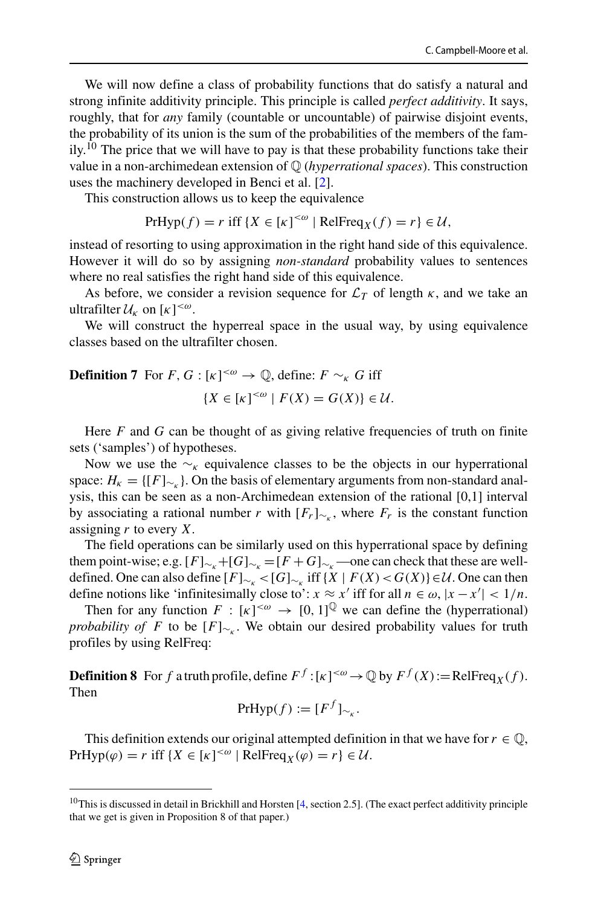We will now define a class of probability functions that do satisfy a natural and strong infinite additivity principle. This principle is called *perfect additivity*. It says, roughly, that for *any* family (countable or uncountable) of pairwise disjoint events, the probability of its union is the sum of the probabilities of the members of the family.<sup>10</sup> The price that we will have to pay is that these probability functions take their value in a non-archimedean extension of Q (*hyperrational spaces*). This construction uses the machinery developed in Benci et al. [\[2\]](#page-25-1).

This construction allows us to keep the equivalence

$$
PrHyp(f) = r \text{ iff } \{X \in [\kappa]^{<\omega} \mid RelFreq_X(f) = r\} \in \mathcal{U},
$$

instead of resorting to using approximation in the right hand side of this equivalence. However it will do so by assigning *non-standard* probability values to sentences where no real satisfies the right hand side of this equivalence.

As before, we consider a revision sequence for  $\mathcal{L}_T$  of length  $\kappa$ , and we take an ultrafilter  $U_k$  on  $[\kappa]^{<\omega}$ .

We will construct the hyperreal space in the usual way, by using equivalence classes based on the ultrafilter chosen.

**Definition 7** For 
$$
F, G : [\kappa]^{<\omega} \to \mathbb{Q}
$$
, define:  $F \sim_{\kappa} G$  iff  

$$
\{X \in [\kappa]^{<\omega} \mid F(X) = G(X)\} \in \mathcal{U}.
$$

Here *F* and *G* can be thought of as giving relative frequencies of truth on finite sets ('samples') of hypotheses.

Now we use the ∼*<sup>κ</sup>* equivalence classes to be the objects in our hyperrational space:  $H_k = \{ [F]_{\sim_k} \}$ . On the basis of elementary arguments from non-standard analysis, this can be seen as a non-Archimedean extension of the rational [0,1] interval by associating a rational number *r* with  $[F_r]_{\sim k}$ , where  $F_r$  is the constant function assigning *r* to every *X*.

The field operations can be similarly used on this hyperrational space by defining them point-wise; e.g.  $[F]_{\sim_k}+[G]_{\sim_k}=[F+G]_{\sim_k}$ —one can check that these are welldefined. One can also define  $[F]_{\sim_k}$  <  $[G]_{\sim_k}$  iff  $\{X \mid F(X) < G(X)\}$  ∈  $\mathcal{U}$ . One can then define notions like 'infinitesimally close to':  $x \approx x'$  iff for all  $n \in \omega$ ,  $|x - x'| < 1/n$ .

Then for any function  $F : [\kappa]^{<\omega} \to [0, 1]^\mathbb{Q}$  we can define the (hyperrational) *probability of F* to be  $[F]_{\sim_k}$ . We obtain our desired probability values for truth profiles by using RelFreq:

**Definition 8** For *f* a truth profile, define  $F^f$  :  $[\kappa]^{<\omega} \to \mathbb{Q}$  by  $F^f(X)$ :=RelFreq<sub>*X*</sub>(*f*). Then

$$
PrHyp(f) := [F^f]_{\sim_K}.
$$

This definition extends our original attempted definition in that we have for  $r \in \mathbb{Q}$ , PrHyp $(\varphi) = r$  iff  $\{X \in [\kappa]^{< \omega} \mid \text{RelFreq}_X(\varphi) = r\} \in \mathcal{U}$ .

<span id="page-10-0"></span><sup>&</sup>lt;sup>10</sup>This is discussed in detail in Brickhill and Horsten [\[4,](#page-26-9) section 2.5]. (The exact perfect additivity principle that we get is given in Proposition 8 of that paper.)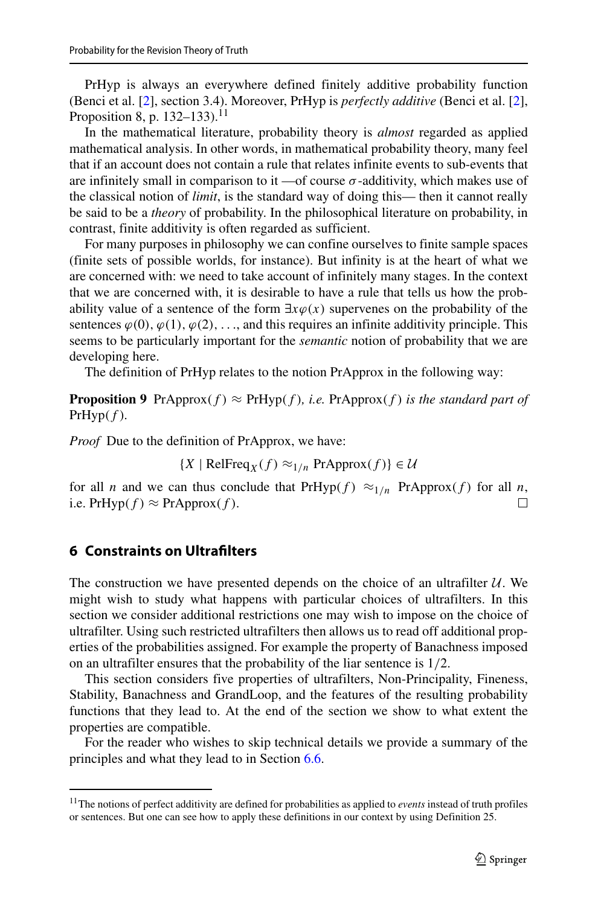PrHyp is always an everywhere defined finitely additive probability function (Benci et al. [\[2\]](#page-25-1), section 3.4). Moreover, PrHyp is *perfectly additive* (Benci et al. [\[2\]](#page-25-1), Proposition 8, p. 132–133).<sup>[11](#page-11-1)</sup>

In the mathematical literature, probability theory is *almost* regarded as applied mathematical analysis. In other words, in mathematical probability theory, many feel that if an account does not contain a rule that relates infinite events to sub-events that are infinitely small in comparison to it —of course  $\sigma$ -additivity, which makes use of the classical notion of *limit*, is the standard way of doing this— then it cannot really be said to be a *theory* of probability. In the philosophical literature on probability, in contrast, finite additivity is often regarded as sufficient.

For many purposes in philosophy we can confine ourselves to finite sample spaces (finite sets of possible worlds, for instance). But infinity is at the heart of what we are concerned with: we need to take account of infinitely many stages. In the context that we are concerned with, it is desirable to have a rule that tells us how the probability value of a sentence of the form  $\exists x \varphi(x)$  supervenes on the probability of the sentences  $\varphi(0), \varphi(1), \varphi(2), \ldots$ , and this requires an infinite additivity principle. This seems to be particularly important for the *semantic* notion of probability that we are developing here.

The definition of PrHyp relates to the notion PrApprox in the following way:

**Proposition 9** PrApprox $(f) \approx$  PrHyp $(f)$ *, i.e.* PrApprox $(f)$  *is the standard part of*  $PrHyp(f)$ *.* 

*Proof* Due to the definition of PrApprox, we have:

 ${X \mid \text{RelFreq}_X(f) \approx_{1/n} \text{PrApprox}(f)} \in \mathcal{U}$ 

for all *n* and we can thus conclude that  $PrHyp(f) \approx 1/n$  PrApprox $(f)$  for all *n*, i.e.  $PrHvp(f) \approx PrApprox(f)$ . i.e.  $PrHyp(f) \approx PrApprox(f)$ .

#### <span id="page-11-0"></span>**6 Constraints on Ultrafilters**

The construction we have presented depends on the choice of an ultrafilter  $U$ . We might wish to study what happens with particular choices of ultrafilters. In this section we consider additional restrictions one may wish to impose on the choice of ultrafilter. Using such restricted ultrafilters then allows us to read off additional properties of the probabilities assigned. For example the property of Banachness imposed on an ultrafilter ensures that the probability of the liar sentence is 1*/*2.

This section considers five properties of ultrafilters, Non-Principality, Fineness, Stability, Banachness and GrandLoop, and the features of the resulting probability functions that they lead to. At the end of the section we show to what extent the properties are compatible.

For the reader who wishes to skip technical details we provide a summary of the principles and what they lead to in Section [6.6.](#page-21-0)

<span id="page-11-1"></span><sup>11</sup>The notions of perfect additivity are defined for probabilities as applied to *events* instead of truth profiles or sentences. But one can see how to apply these definitions in our context by using Definition 25.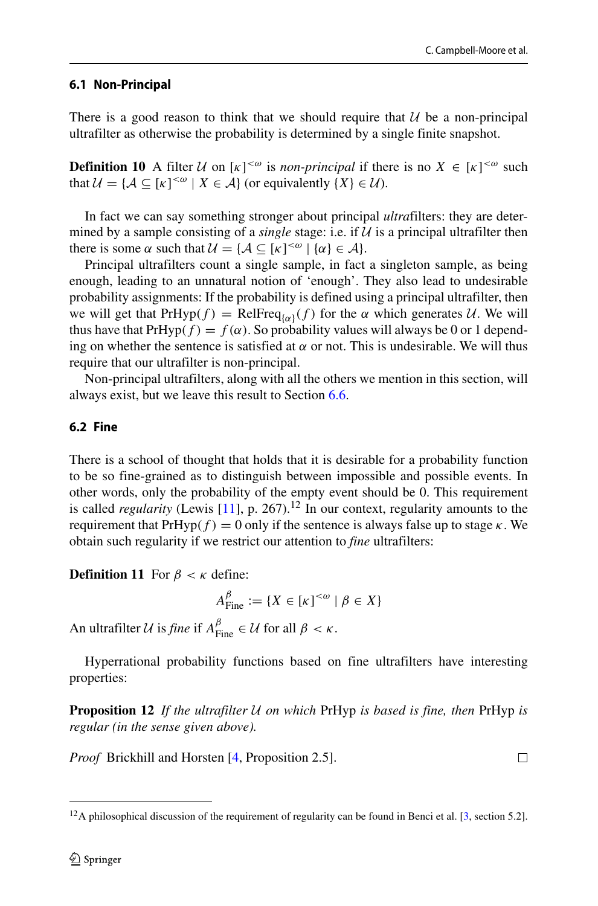$\Box$ 

## **6.1 Non-Principal**

There is a good reason to think that we should require that  $U$  be a non-principal ultrafilter as otherwise the probability is determined by a single finite snapshot.

**Definition 10** A filter  $U$  on  $[\kappa]^{<\omega}$  is *non-principal* if there is no  $X \in [\kappa]^{<\omega}$  such that  $\mathcal{U} = {\mathcal{A} \subseteq [\kappa]^{<\omega} \mid X \in \mathcal{A}}$  (or equivalently  $\{X\} \in \mathcal{U}$ ).

In fact we can say something stronger about principal *ultra*filters: they are determined by a sample consisting of a *single* stage: i.e. if  $U$  is a principal ultrafilter then there is some  $\alpha$  such that  $\mathcal{U} = {\mathcal{A} \subseteq [\kappa]^{<\omega} \mid {\alpha} \in \mathcal{A}}.$ 

Principal ultrafilters count a single sample, in fact a singleton sample, as being enough, leading to an unnatural notion of 'enough'. They also lead to undesirable probability assignments: If the probability is defined using a principal ultrafilter, then we will get that  $PrHyp(f) = RelFreq_{\{\alpha\}}(f)$  for the  $\alpha$  which generates U. We will thus have that  $PrHyp(f) = f(\alpha)$ . So probability values will always be 0 or 1 depending on whether the sentence is satisfied at  $\alpha$  or not. This is undesirable. We will thus require that our ultrafilter is non-principal.

Non-principal ultrafilters, along with all the others we mention in this section, will always exist, but we leave this result to Section [6.6.](#page-21-0)

## **6.2 Fine**

There is a school of thought that holds that it is desirable for a probability function to be so fine-grained as to distinguish between impossible and possible events. In other words, only the probability of the empty event should be 0. This requirement is called *regularity* (Lewis [\[11\]](#page-26-10), p. 267).<sup>[12](#page-12-0)</sup> In our context, regularity amounts to the requirement that  $PrHyp(f) = 0$  only if the sentence is always false up to stage  $\kappa$ . We obtain such regularity if we restrict our attention to *fine* ultrafilters:

**Definition 11** For  $\beta < \kappa$  define:

$$
A_{\text{Fine}}^{\beta} := \{ X \in [\kappa]^{<\omega} \mid \beta \in X \}
$$

An ultrafilter *U* is *fine* if  $A_{\text{Fine}}^{\beta} \in \mathcal{U}$  for all  $\beta < \kappa$ .

Hyperrational probability functions based on fine ultrafilters have interesting properties:

**Proposition 12** *If the ultrafilter* U *on which* PrHyp *is based is fine, then* PrHyp *is regular (in the sense given above).*

*Proof* Brickhill and Horsten [\[4,](#page-26-9) Proposition 2.5].

<span id="page-12-0"></span><sup>&</sup>lt;sup>12</sup>A philosophical discussion of the requirement of regularity can be found in Benci et al. [\[3,](#page-25-0) section 5.2].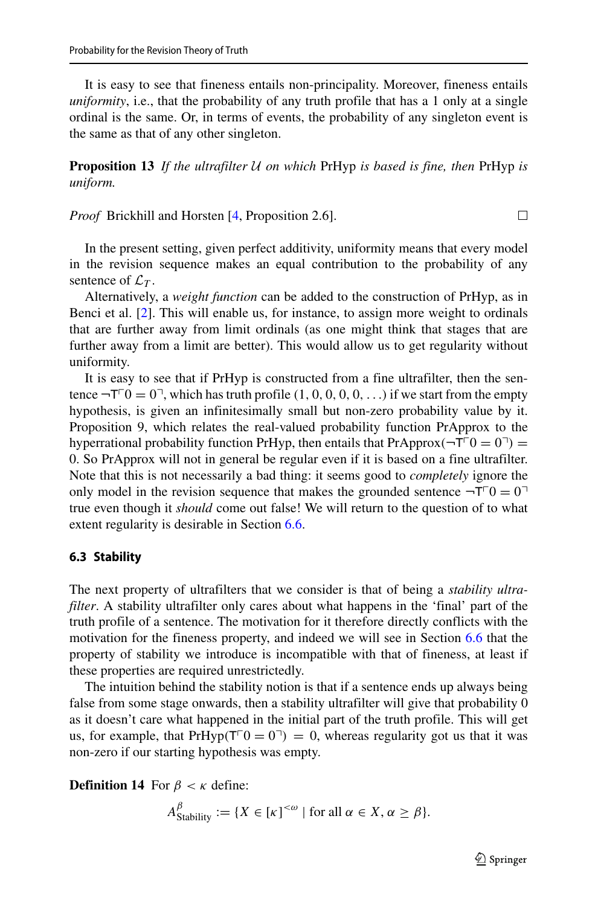It is easy to see that fineness entails non-principality. Moreover, fineness entails *uniformity*, i.e., that the probability of any truth profile that has a 1 only at a single ordinal is the same. Or, in terms of events, the probability of any singleton event is the same as that of any other singleton.

**Proposition 13** *If the ultrafilter* U *on which* PrHyp *is based is fine, then* PrHyp *is uniform.*

*Proof* Brickhill and Horsten [\[4,](#page-26-9) Proposition 2.6].

In the present setting, given perfect additivity, uniformity means that every model in the revision sequence makes an equal contribution to the probability of any sentence of  $\mathcal{L}_T$ .

Alternatively, a *weight function* can be added to the construction of PrHyp, as in Benci et al. [\[2\]](#page-25-1). This will enable us, for instance, to assign more weight to ordinals that are further away from limit ordinals (as one might think that stages that are further away from a limit are better). This would allow us to get regularity without uniformity.

It is easy to see that if PrHyp is constructed from a fine ultrafilter, then the sentence  $\neg$ T<sup> $\Gamma$ </sup> $0 = 0$ <sup> $\exists$ </sup>, which has truth profile  $(1, 0, 0, 0, 0, ...)$  if we start from the empty hypothesis, is given an infinitesimally small but non-zero probability value by it. Proposition 9, which relates the real-valued probability function PrApprox to the hyperrational probability function PrHyp, then entails that  $PrApprox(\neg \top \cap 0 = 0 \neg)$  = 0. So PrApprox will not in general be regular even if it is based on a fine ultrafilter. Note that this is not necessarily a bad thing: it seems good to *completely* ignore the only model in the revision sequence that makes the grounded sentence  $\neg T \bigcirc = 0$ true even though it *should* come out false! We will return to the question of to what extent regularity is desirable in Section [6.6.](#page-21-0)

#### <span id="page-13-0"></span>**6.3 Stability**

The next property of ultrafilters that we consider is that of being a *stability ultrafilter*. A stability ultrafilter only cares about what happens in the 'final' part of the truth profile of a sentence. The motivation for it therefore directly conflicts with the motivation for the fineness property, and indeed we will see in Section [6.6](#page-21-0) that the property of stability we introduce is incompatible with that of fineness, at least if these properties are required unrestrictedly.

The intuition behind the stability notion is that if a sentence ends up always being false from some stage onwards, then a stability ultrafilter will give that probability 0 as it doesn't care what happened in the initial part of the truth profile. This will get us, for example, that  $PrHyp(T^{\top}0 = 0^{\top}) = 0$ , whereas regularity got us that it was non-zero if our starting hypothesis was empty.

**Definition 14** For  $\beta < \kappa$  define:

$$
A_{\text{Stability}}^{\beta} := \{ X \in [\kappa]^{<\omega} \mid \text{for all } \alpha \in X, \alpha \ge \beta \}.
$$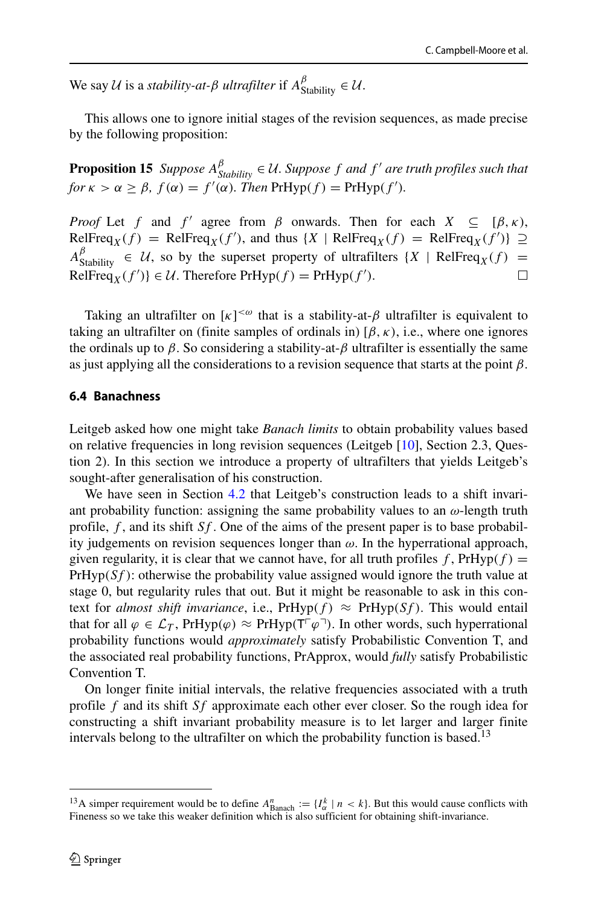We say U is a *stability-at-β ultrafilter* if  $A_{\text{Stability}}^{\beta} \in \mathcal{U}$ .

This allows one to ignore initial stages of the revision sequences, as made precise by the following proposition:

**Proposition 15** *Suppose*  $A_{Stability}^{\beta} \in \mathcal{U}$ . Suppose f and f' are truth profiles such that *for*  $\kappa > \alpha \ge \beta$ ,  $f(\alpha) = f'(\alpha)$ *. Then*  $PrHyp(f) = PrHyp(f')$ *.* 

*Proof* Let *f* and *f'* agree from *β* onwards. Then for each  $X \subseteq [\beta, \kappa)$ ,  $\text{RelFreq}_X(f) = \text{RelFreq}_X(f')$ , and thus  $\{X \mid \text{RelFreq}_X(f) = \text{RelFreq}_X(f')\} \supseteq$  $A_{\text{Stability}}^{\beta} \in \mathcal{U}$ , so by the superset property of ultrafilters  $\{X \mid \text{RelFreq}_X(f) = \emptyset\}$  $\text{RelFreq}_X(f')\}\in\mathcal{U}$ . Therefore  $\text{PrHyp}(f)=\text{PrHyp}(f').$ 

Taking an ultrafilter on  $[\kappa]^{<\omega}$  that is a stability-at- $\beta$  ultrafilter is equivalent to taking an ultrafilter on (finite samples of ordinals in)  $[\beta, \kappa)$ , i.e., where one ignores the ordinals up to  $\beta$ . So considering a stability-at- $\beta$  ultrafilter is essentially the same as just applying all the considerations to a revision sequence that starts at the point *β*.

#### <span id="page-14-0"></span>**6.4 Banachness**

Leitgeb asked how one might take *Banach limits* to obtain probability values based on relative frequencies in long revision sequences (Leitgeb [\[10\]](#page-26-1), Section 2.3, Question 2). In this section we introduce a property of ultrafilters that yields Leitgeb's sought-after generalisation of his construction.

We have seen in Section [4.2](#page-5-0) that Leitgeb's construction leads to a shift invariant probability function: assigning the same probability values to an  $\omega$ -length truth profile, *f* , and its shift *Sf* . One of the aims of the present paper is to base probability judgements on revision sequences longer than  $\omega$ . In the hyperrational approach, given regularity, it is clear that we cannot have, for all truth profiles  $f$ ,  $PrHyp(f)$  =  $PrHyp(Sf)$ : otherwise the probability value assigned would ignore the truth value at stage 0, but regularity rules that out. But it might be reasonable to ask in this context for *almost shift invariance*, i.e.,  $PrHyp(f) \approx PrHyp(Sf)$ . This would entail that for all  $\varphi \in \mathcal{L}_T$ , PrHyp $(\varphi) \approx$  PrHyp $(T^{\lceil} \varphi^{\lceil})$ . In other words, such hyperrational probability functions would *approximately* satisfy Probabilistic Convention T, and the associated real probability functions, PrApprox, would *fully* satisfy Probabilistic Convention T.

On longer finite initial intervals, the relative frequencies associated with a truth profile *f* and its shift *Sf* approximate each other ever closer. So the rough idea for constructing a shift invariant probability measure is to let larger and larger finite intervals belong to the ultrafilter on which the probability function is based.<sup>13</sup>

<span id="page-14-1"></span><sup>&</sup>lt;sup>13</sup>A simper requirement would be to define  $A_{\text{Banach}}^n := \{I_\alpha^k \mid n < k\}$ . But this would cause conflicts with Fineness so we take this weaker definition which is also sufficient for obtaining shift-invariance.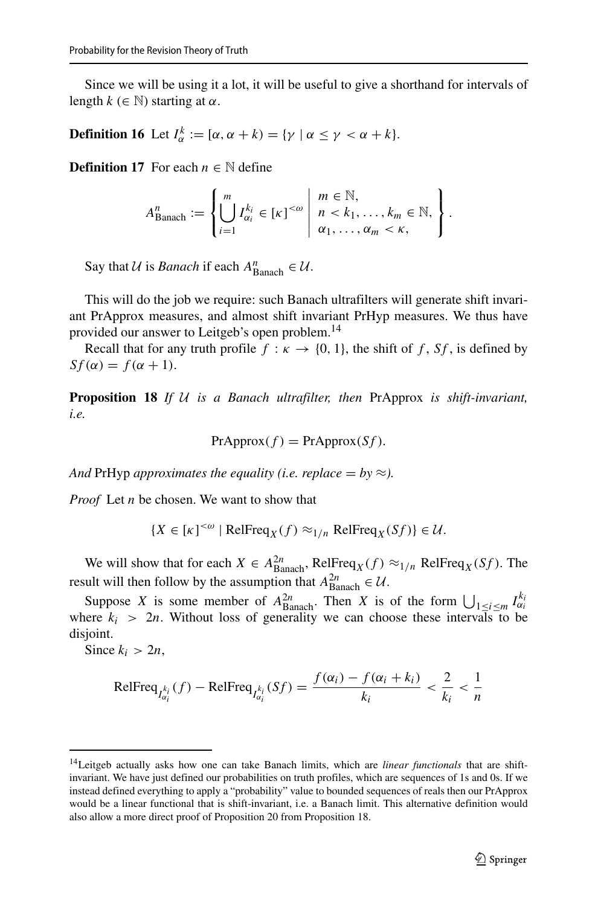Since we will be using it a lot, it will be useful to give a shorthand for intervals of length  $k \in \mathbb{N}$ ) starting at  $\alpha$ .

**Definition 16** Let  $I_{\alpha}^{k} := [\alpha, \alpha + k] = {\gamma \mid \alpha \leq \gamma < \alpha + k}.$ 

**Definition 17** For each  $n \in \mathbb{N}$  define

$$
A_{\text{Banach}}^n := \left\{ \left. \bigcup_{i=1}^m I_{\alpha_i}^{k_i} \in [\kappa]^{<\omega} \; \middle| \; \begin{array}{l} m \in \mathbb{N}, \\ n < k_1, \ldots, k_m \in \mathbb{N}, \\ \alpha_1, \ldots, \alpha_m < \kappa, \end{array} \right. \right\}.
$$

Say that  $U$  is *Banach* if each  $A_{\text{Banach}}^n \in U$ .

This will do the job we require: such Banach ultrafilters will generate shift invariant PrApprox measures, and almost shift invariant PrHyp measures. We thus have provided our answer to Leitgeb's open problem.<sup>14</sup>

Recall that for any truth profile  $f : \kappa \to \{0, 1\}$ , the shift of f, Sf, is defined by  $Sf(\alpha) = f(\alpha + 1)$ .

**Proposition 18** *If* U *is a Banach ultrafilter, then* PrApprox *is shift-invariant, i.e.*

$$
PrApprox(f) = PrApprox(Sf).
$$

*And* PrHyp *approximates the equality (i.e. replace*  $= by \approx$ *).* 

*Proof* Let *n* be chosen. We want to show that

$$
{X \in [\kappa]^{<\omega} | \text{RelFreq}_X(f) \approx_{1/n} \text{RelFreq}_X(Sf) } \in \mathcal{U}.
$$

We will show that for each  $X \in A_{\text{Banach}}^{2n}$ , RelFreq<sub>*X*</sub>(*f*)  $\approx_{1/n}$  RelFreq<sub>*X*</sub>(*Sf*). The result will then follow by the assumption that  $A_{\text{Banach}}^{2n} \in \mathcal{U}$ .

Suppose *X* is some member of  $A_{\text{Banach}}^{2n}$ . Then *X* is of the form  $\bigcup_{1 \le i \le m} I_{\alpha_i}^{k_i}$ where  $k_i$  > 2*n*. Without loss of generality we can choose these intervals to be disjoint.

Since  $k_i > 2n$ ,

$$
\text{RelFreq}_{I_{\alpha_i}^{k_i}}(f) - \text{RelFreq}_{I_{\alpha_i}^{k_i}}(Sf) = \frac{f(\alpha_i) - f(\alpha_i + k_i)}{k_i} < \frac{2}{k_i} < \frac{1}{n}
$$

<span id="page-15-0"></span><sup>14</sup>Leitgeb actually asks how one can take Banach limits, which are *linear functionals* that are shiftinvariant. We have just defined our probabilities on truth profiles, which are sequences of 1s and 0s. If we instead defined everything to apply a "probability" value to bounded sequences of reals then our PrApprox would be a linear functional that is shift-invariant, i.e. a Banach limit. This alternative definition would also allow a more direct proof of Proposition 20 from Proposition 18.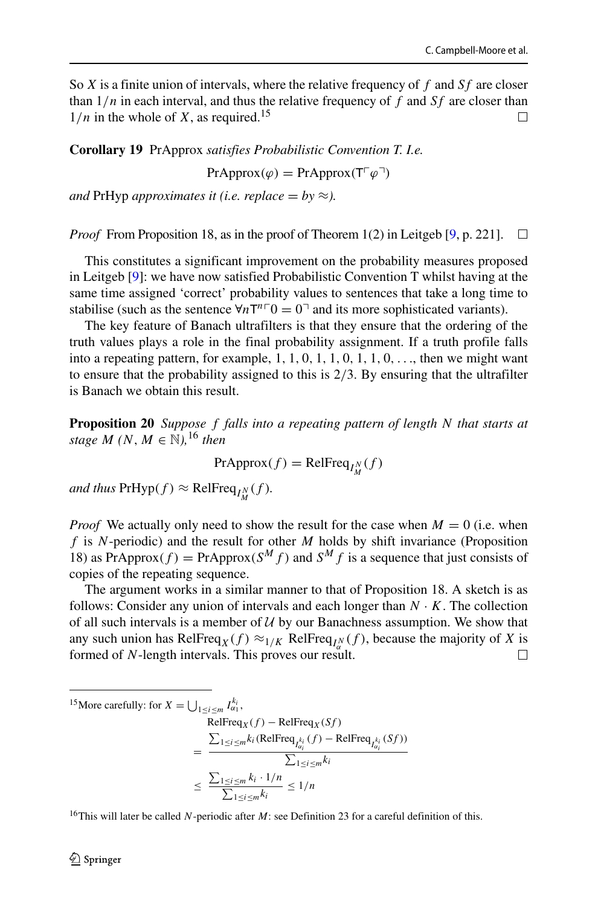So *X* is a finite union of intervals, where the relative frequency of *f* and *Sf* are closer than 1*/n* in each interval, and thus the relative frequency of *f* and *Sf* are closer than  $1/n$  in the whole of *X*, as required.<sup>15</sup>  $\Box$ 

**Corollary 19** PrApprox *satisfies Probabilistic Convention T. I.e.*

 $PrApprox(\varphi) = PrApprox(T^{\top} \varphi^{\top})$ 

*and* PrHyp *approximates it (i.e. replace = by*  $\approx$ ).

*Proof* From Proposition 18, as in the proof of Theorem 1(2) in Leitgeb [\[9,](#page-26-0) p. 221].  $\Box$ 

This constitutes a significant improvement on the probability measures proposed in Leitgeb [\[9\]](#page-26-0): we have now satisfied Probabilistic Convention T whilst having at the same time assigned 'correct' probability values to sentences that take a long time to stabilise (such as the sentence  $\forall n \mathsf{T}^{n} \mathsf{T}^0 = 0$ <sup> $\exists$ </sup> and its more sophisticated variants).

The key feature of Banach ultrafilters is that they ensure that the ordering of the truth values plays a role in the final probability assignment. If a truth profile falls into a repeating pattern, for example, 1*,* 1*,* 0*,* 1*,* 1*,* 0*,* 1*,* 1*,* 0*,...*, then we might want to ensure that the probability assigned to this is 2*/*3. By ensuring that the ultrafilter is Banach we obtain this result.

**Proposition 20** *Suppose f falls into a repeating pattern of length N that starts at stage*  $M$   $(N, M \in \mathbb{N})$ , <sup>[16](#page-16-1)</sup> *then* 

 $PrApprox(f) = RelFreq<sub>I_M^N</sub>(f)$ 

 $and$  *thus*  $PrHyp(f) \approx RelFreq_{I_M^N}(f)$ *.* 

*Proof* We actually only need to show the result for the case when  $M = 0$  (i.e. when *f* is *N*-periodic) and the result for other *M* holds by shift invariance (Proposition 18) as PrApprox $(f)$  = PrApprox $(S^M f)$  and  $S^M f$  is a sequence that just consists of copies of the repeating sequence.

The argument works in a similar manner to that of Proposition 18. A sketch is as follows: Consider any union of intervals and each longer than  $N \cdot K$ . The collection of all such intervals is a member of  $U$  by our Banachness assumption. We show that any such union has RelFreq<sub>*X*</sub>(*f*)  $\approx$ <sub>1/*K*</sub> RelFreq<sub>*I*<sup>*N*</sup></sup>(*f*), because the majority of *X* is</sub> formed of *N*-length intervals. This proves our result.

```
<sup>15</sup>More carefully: for X = \bigcup_{1 \le i \le m} I_{\alpha_1}^{k_i},
                                                                   \text{RelFreq}_X(f) - \text{RelFre}=
                                                                      \sum_{1 \le i \le m} k_i (RelFreq<sub>I</sub>_{l_{\alpha_i}}^{k_i}(f) – RelFreq<sub>I_{l_{\alpha_i}}^{k_i}(Sf))</sub>
                                                                                                            \sum_{1\leq i\leq m}k_i≤
                                                                      \sum_{1\leq i\leq m}k_i\cdot 1/n\frac{\sum_{i \leq m} k_i}{\sum_{1 \leq i \leq m} k_i} \leq 1/n
```
<span id="page-16-1"></span><sup>16</sup>This will later be called *N*-periodic after *M*: see Definition 23 for a careful definition of this.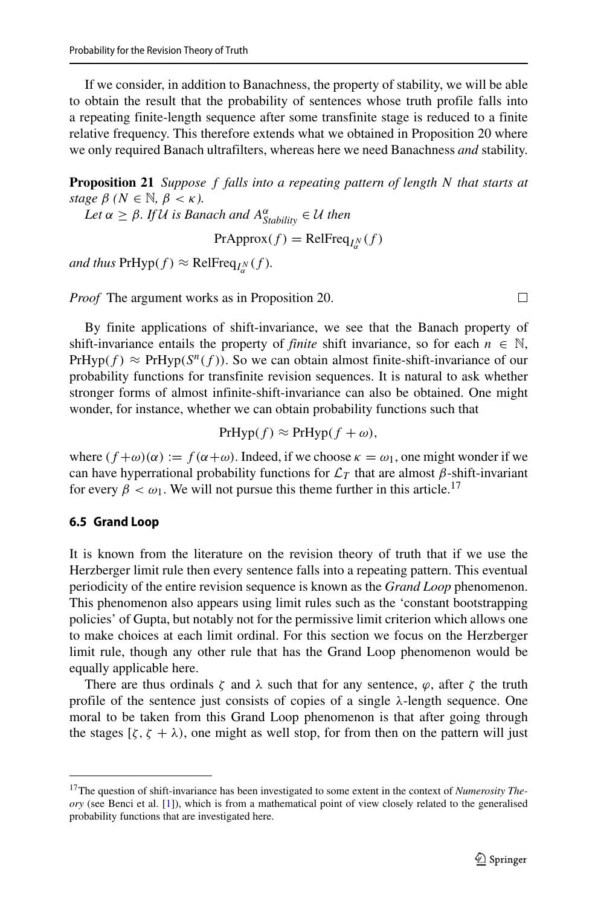If we consider, in addition to Banachness, the property of stability, we will be able to obtain the result that the probability of sentences whose truth profile falls into a repeating finite-length sequence after some transfinite stage is reduced to a finite relative frequency. This therefore extends what we obtained in Proposition 20 where we only required Banach ultrafilters, whereas here we need Banachness *and* stability.

**Proposition 21** *Suppose f falls into a repeating pattern of length N that starts at stage*  $\beta$  ( $N \in \mathbb{N}$ ,  $\beta < \kappa$ ).

 $Let \alpha \geq \beta$ *. If* U is Banach and  $A^{\alpha}_{Stability} \in \mathcal{U}$  then

 $PrApprox(f) = RelFreq<sub>I<sub>\alpha</sub><sup>N</sup></sub>(f)$ 

 $\mathcal{L}_{\text{and thus PrHyp}}(f) \approx \text{RelFreq}_{I^N_{\alpha}}(f).$ 

*Proof* The argument works as in Proposition 20.

By finite applications of shift-invariance, we see that the Banach property of shift-invariance entails the property of *finite* shift invariance, so for each  $n \in \mathbb{N}$ , PrHyp( $f$ )  $\approx$  PrHyp( $S^n(f)$ ). So we can obtain almost finite-shift-invariance of our probability functions for transfinite revision sequences. It is natural to ask whether stronger forms of almost infinite-shift-invariance can also be obtained. One might wonder, for instance, whether we can obtain probability functions such that

$$
PrHyp(f) \approx PrHyp(f+\omega),
$$

where  $(f + \omega)(\alpha) := f(\alpha + \omega)$ . Indeed, if we choose  $\kappa = \omega_1$ , one might wonder if we can have hyperrational probability functions for  $\mathcal{L}_T$  that are almost  $\beta$ -shift-invariant for every  $\beta < \omega_1$ . We will not pursue this theme further in this article.<sup>[17](#page-17-0)</sup>

#### **6.5 Grand Loop**

It is known from the literature on the revision theory of truth that if we use the Herzberger limit rule then every sentence falls into a repeating pattern. This eventual periodicity of the entire revision sequence is known as the *Grand Loop* phenomenon. This phenomenon also appears using limit rules such as the 'constant bootstrapping policies' of Gupta, but notably not for the permissive limit criterion which allows one to make choices at each limit ordinal. For this section we focus on the Herzberger limit rule, though any other rule that has the Grand Loop phenomenon would be equally applicable here.

There are thus ordinals  $\zeta$  and  $\lambda$  such that for any sentence,  $\varphi$ , after  $\zeta$  the truth profile of the sentence just consists of copies of a single *λ*-length sequence. One moral to be taken from this Grand Loop phenomenon is that after going through the stages  $[\zeta, \zeta + \lambda)$ , one might as well stop, for from then on the pattern will just

 $\Box$ 

<span id="page-17-0"></span><sup>17</sup>The question of shift-invariance has been investigated to some extent in the context of *Numerosity Theory* (see Benci et al. [\[1\]](#page-25-2)), which is from a mathematical point of view closely related to the generalised probability functions that are investigated here.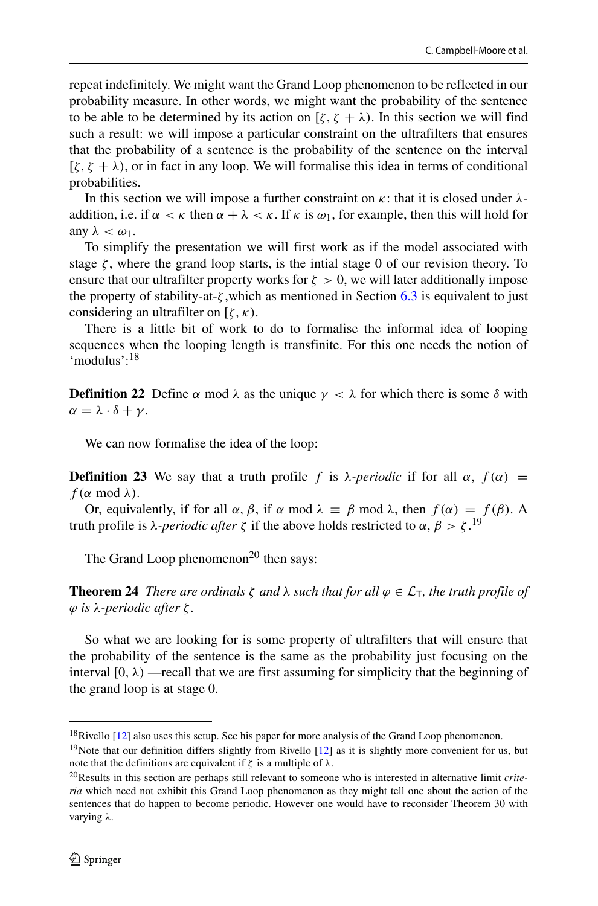repeat indefinitely. We might want the Grand Loop phenomenon to be reflected in our probability measure. In other words, we might want the probability of the sentence to be able to be determined by its action on  $[\zeta, \zeta + \lambda)$ . In this section we will find such a result: we will impose a particular constraint on the ultrafilters that ensures that the probability of a sentence is the probability of the sentence on the interval  $[\zeta, \zeta + \lambda)$ , or in fact in any loop. We will formalise this idea in terms of conditional probabilities.

In this section we will impose a further constraint on *κ*: that it is closed under *λ*addition, i.e. if  $\alpha < \kappa$  then  $\alpha + \lambda < \kappa$ . If  $\kappa$  is  $\omega_1$ , for example, then this will hold for any  $λ < ω<sub>1</sub>$ .

To simplify the presentation we will first work as if the model associated with stage  $\zeta$ , where the grand loop starts, is the intial stage 0 of our revision theory. To ensure that our ultrafilter property works for  $\zeta > 0$ , we will later additionally impose the property of stability-at-*ζ* ,which as mentioned in Section [6.3](#page-13-0) is equivalent to just considering an ultrafilter on [*ζ,κ)*.

There is a little bit of work to do to formalise the informal idea of looping sequences when the looping length is transfinite. For this one needs the notion of 'modulus'[:18](#page-18-0)

**Definition 22** Define *α* mod  $\lambda$  as the unique  $\gamma < \lambda$  for which there is some *δ* with *α* =  $λ · δ + γ$ .

We can now formalise the idea of the loop:

**Definition 23** We say that a truth profile *f* is *λ-periodic* if for all *α*,  $f(α)$  =  $f(\alpha \mod \lambda)$ .

Or, equivalently, if for all  $\alpha$ ,  $\beta$ , if  $\alpha$  mod  $\lambda \equiv \beta$  mod  $\lambda$ , then  $f(\alpha) = f(\beta)$ . A truth profile is *λ-periodic after ζ* if the above holds restricted to *α, β > ζ* . [19](#page-18-1)

The Grand Loop phenomenon<sup>20</sup> then says:

**Theorem 24** *There are ordinals*  $\zeta$  *and*  $\lambda$  *such that for all*  $\varphi \in \mathcal{L}_{\tau}$ *, the truth profile of ϕ is λ-periodic after ζ .*

So what we are looking for is some property of ultrafilters that will ensure that the probability of the sentence is the same as the probability just focusing on the interval  $[0, \lambda)$  —recall that we are first assuming for simplicity that the beginning of the grand loop is at stage 0.

<sup>&</sup>lt;sup>18</sup>Rivello [\[12\]](#page-26-11) also uses this setup. See his paper for more analysis of the Grand Loop phenomenon.

<span id="page-18-1"></span><span id="page-18-0"></span><sup>&</sup>lt;sup>19</sup>Note that our definition differs slightly from Rivello  $[12]$  as it is slightly more convenient for us, but note that the definitions are equivalent if *ζ* is a multiple of *λ*.

<span id="page-18-2"></span><sup>20</sup>Results in this section are perhaps still relevant to someone who is interested in alternative limit *criteria* which need not exhibit this Grand Loop phenomenon as they might tell one about the action of the sentences that do happen to become periodic. However one would have to reconsider Theorem 30 with varying *λ*.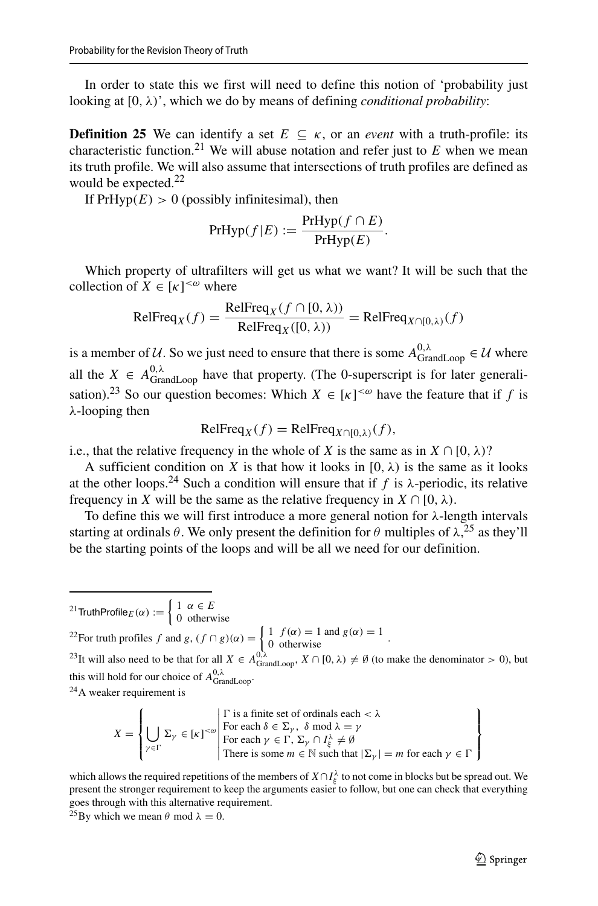In order to state this we first will need to define this notion of 'probability just looking at [0*, λ)*', which we do by means of defining *conditional probability*:

**Definition 25** We can identify a set  $E \subseteq \kappa$ , or an *event* with a truth-profile: its characteristic function.<sup>[21](#page-19-0)</sup> We will abuse notation and refer just to  $E$  when we mean its truth profile. We will also assume that intersections of truth profiles are defined as would be expected.<sup>22</sup>

If  $PrHyp(E) > 0$  (possibly infinitesimal), then

$$
PrHyp(f|E) := \frac{PrHyp(f \cap E)}{PrHyp(E)}.
$$

Which property of ultrafilters will get us what we want? It will be such that the collection of  $X \in [\kappa]^{<\omega}$  where

$$
\text{RelFreq}_X(f) = \frac{\text{RelFreq}_X(f \cap [0, \lambda))}{\text{RelFreq}_X([0, \lambda))} = \text{RelFreq}_{X \cap [0, \lambda)}(f)
$$

is a member of U. So we just need to ensure that there is some  $A_{\text{GrandLoop}}^{0,\lambda} \in \mathcal{U}$  where all the  $X \in A_{\text{GrandLoop}}^{0,\lambda}$  have that property. (The 0-superscript is for later generalisation).<sup>23</sup> So our question becomes: Which  $X \in [\kappa]^{<\omega}$  have the feature that if f is *λ*-looping then

$$
RelFreq_X(f) = RelFreq_{X \cap [0,\lambda)}(f),
$$

i.e., that the relative frequency in the whole of *X* is the same as in  $X \cap [0, \lambda)$ ?

A sufficient condition on *X* is that how it looks in  $[0, \lambda)$  is the same as it looks at the other loops.<sup>24</sup> Such a condition will ensure that if  $f$  is  $\lambda$ -periodic, its relative frequency in *X* will be the same as the relative frequency in  $X \cap [0, \lambda)$ .

To define this we will first introduce a more general notion for *λ*-length intervals starting at ordinals *θ*. We only present the definition for *θ* multiples of *λ*, [25](#page-19-4) as they'll be the starting points of the loops and will be all we need for our definition.

<sup>21</sup>TruthProfile<sub>E</sub>( $\alpha$ ) :=  $\begin{cases} 1 & \alpha \in E \\ 0 & \text{otherwise} \end{cases}$ 

<span id="page-19-0"></span><sup>22</sup>For truth profiles *f* and *g*,  $(f \cap g)(\alpha) = \begin{cases} 1 & f(\alpha) = 1 \text{ and } g(\alpha) = 1 \\ 0 & \text{otherwise} \end{cases}$ .

<span id="page-19-2"></span><span id="page-19-1"></span><sup>23</sup>It will also need to be that for all  $X \in A_{\text{GrandLoop}}^{0,\lambda}$ ,  $X \cap [0,\lambda) \neq \emptyset$  (to make the denominator > 0), but this will hold for our choice of  $A_{\text{GrandLoop}}^{0,\lambda}$ .

<span id="page-19-3"></span> $24$ A weaker requirement is

$$
X = \left\{ \bigcup_{\gamma \in \Gamma} \Sigma_{\gamma} \in [\kappa]^{<\omega} \middle| \begin{array}{l} \Gamma \text{ is a finite set of ordinals each } < \lambda \\ \text{For each } \delta \in \Sigma_{\gamma}, \ \delta \text{ mod } \lambda = \gamma \\ \text{For each } \gamma \in \Gamma, \ \Sigma_{\gamma} \cap I_{\xi}^{\lambda} \neq \emptyset \\ \text{There is some } m \in \mathbb{N} \text{ such that } |\Sigma_{\gamma}| = m \text{ for each } \gamma \in \Gamma \end{array} \right\}
$$

which allows the required repetitions of the members of  $X \cap I_{\xi}^{\lambda}$  to not come in blocks but be spread out. We present the stronger requirement to keep the arguments easier to follow, but one can check that everything goes through with this alternative requirement.

<span id="page-19-4"></span><sup>25</sup>By which we mean  $\theta$  mod  $\lambda = 0$ .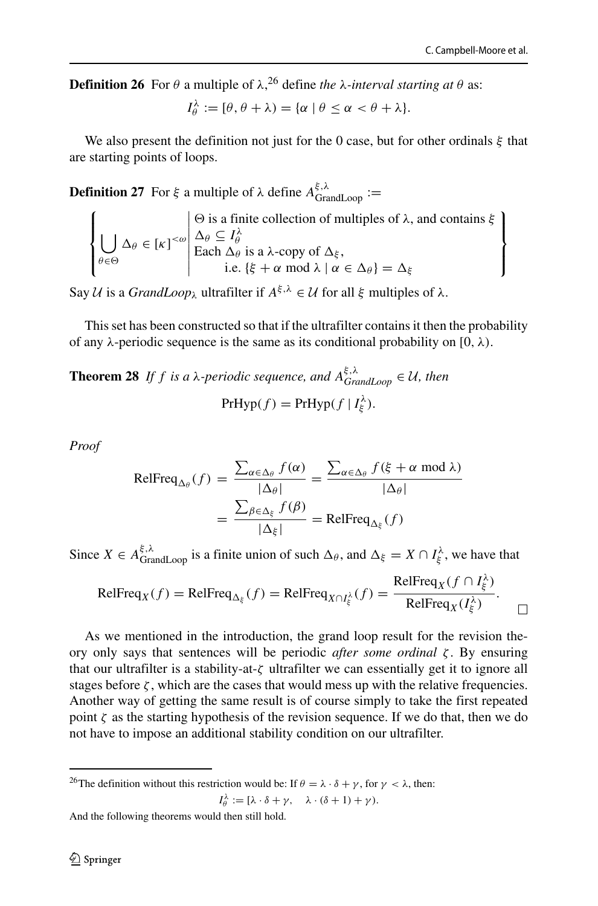**Definition [26](#page-20-0)** For *θ* a multiple of  $\lambda$ , <sup>26</sup> define *the*  $\lambda$ -*interval starting at θ* as:

$$
I_{\theta}^{\lambda} := [\theta, \theta + \lambda) = {\alpha | \theta \leq \alpha < \theta + \lambda}.
$$

We also present the definition not just for the 0 case, but for other ordinals *ξ* that are starting points of loops.

**Definition 27** For *ξ* a multiple of  $\lambda$  define  $A_{\text{GrandLoop}}^{\xi, \lambda}$  :=

$$
\left\{\bigcup_{\theta \in \Theta} \Delta_{\theta} \in [\kappa]^{<\omega} \middle| \begin{array}{l}\Theta \text{ is a finite collection of multiples of } \lambda, \text{ and contains } \xi \\
\Delta_{\theta} \subseteq I_{\theta}^{\lambda} \\
\text{Each } \Delta_{\theta} \text{ is a } \lambda\text{-copy of } \Delta_{\xi}, \\
\text{i.e. } \{\xi + \alpha \text{ mod } \lambda \mid \alpha \in \Delta_{\theta}\} = \Delta_{\xi}\n\end{array}\right\}
$$

Say *U* is a *GrandLoop*<sub>λ</sub> ultrafilter if  $A^{\xi, \lambda}$  ∈ *U* for all *ξ* multiples of  $\lambda$ .

This set has been constructed so that if the ultrafilter contains it then the probability of any *λ*-periodic sequence is the same as its conditional probability on [0*, λ)*.

**Theorem 28** *If f is a λ*-periodic sequence, and  $A_{GrandLoop}^{\xi, \lambda} \in \mathcal{U}$ , then  $PrHyp(f) = PrHyp(f | I_{\xi}^{\lambda}).$ 

*Proof*

$$
\text{RelFreq}_{\Delta_{\theta}}(f) = \frac{\sum_{\alpha \in \Delta_{\theta}} f(\alpha)}{|\Delta_{\theta}|} = \frac{\sum_{\alpha \in \Delta_{\theta}} f(\xi + \alpha \mod \lambda)}{|\Delta_{\theta}|}
$$

$$
= \frac{\sum_{\beta \in \Delta_{\xi}} f(\beta)}{|\Delta_{\xi}|} = \text{RelFreq}_{\Delta_{\xi}}(f)
$$

Since  $X \in A_{\text{GrandLoop}}^{\xi, \lambda}$  is a finite union of such  $\Delta_{\theta}$ , and  $\Delta_{\xi} = X \cap I_{\xi}^{\lambda}$ , we have that

$$
\text{RelFreq}_X(f) = \text{RelFreq}_{\Delta_{\xi}}(f) = \text{RelFreq}_{X \cap I_{\xi}^{\lambda}}(f) = \frac{\text{RelFreq}_X(f \cap I_{\xi}^{\lambda})}{\text{RelFreq}_X(I_{\xi}^{\lambda})}.
$$

As we mentioned in the introduction, the grand loop result for the revision theory only says that sentences will be periodic *after some ordinal ζ* . By ensuring that our ultrafilter is a stability-at-*ζ* ultrafilter we can essentially get it to ignore all stages before  $\zeta$ , which are the cases that would mess up with the relative frequencies. Another way of getting the same result is of course simply to take the first repeated point  $\zeta$  as the starting hypothesis of the revision sequence. If we do that, then we do not have to impose an additional stability condition on our ultrafilter.

<span id="page-20-0"></span><sup>26</sup>The definition without this restriction would be: If  $\theta = \lambda \cdot \delta + \gamma$ , for  $\gamma < \lambda$ , then:  $I_{\theta}^{\lambda} := [\lambda \cdot \delta + \gamma, \quad \lambda \cdot (\delta + 1) + \gamma).$ 

And the following theorems would then still hold.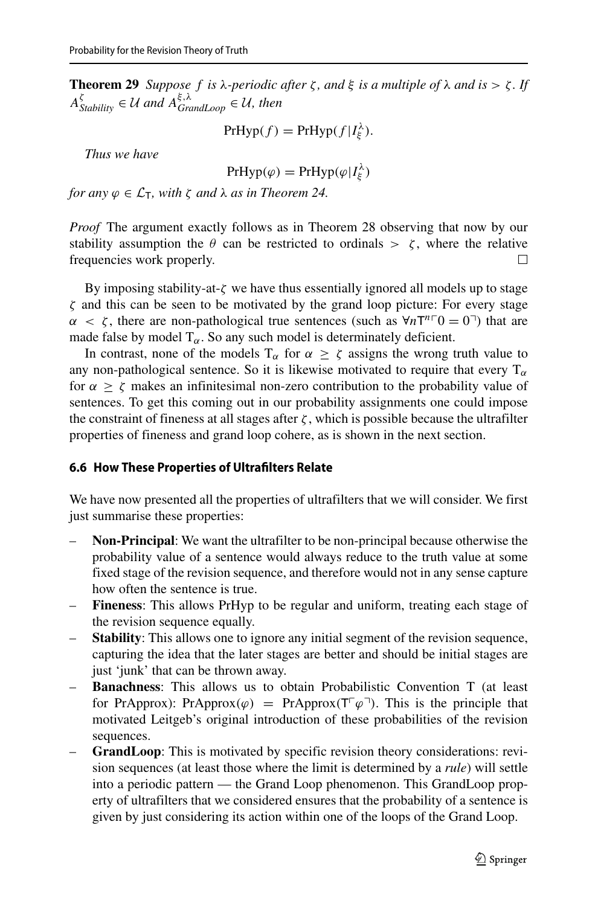**Theorem 29** *Suppose f is λ-periodic after*  $\zeta$ *, and*  $\xi$  *is a multiple of λ and is*  $>$   $\zeta$ *. If*  $A_{Stability}^{\xi} \in \mathcal{U}$  and  $A_{GrandLoop}^{\xi, \lambda} \in \mathcal{U}$ , then

$$
PrHyp(f) = PrHyp(f|I_{\xi}^{\lambda}).
$$

*Thus we have*

$$
PrHyp(\varphi) = PrHyp(\varphi|I_{\xi}^{\lambda})
$$

*for any*  $\varphi \in \mathcal{L}_T$ , *with*  $\zeta$  *and*  $\lambda$  *as in Theorem 24.* 

*Proof* The argument exactly follows as in Theorem 28 observing that now by our stability assumption the  $\theta$  can be restricted to ordinals  $> \zeta$ , where the relative frequencies work properly.  $\Box$ 

By imposing stability-at-*ζ* we have thus essentially ignored all models up to stage *ζ* and this can be seen to be motivated by the grand loop picture: For every stage *α* < *ζ*, there are non-pathological true sentences (such as ∀*n*T<sup>*n*</sup><sup> $\Gamma$ </sup>0 = 0<sup> $\top$ </sup>) that are made false by model  $T_\alpha$ . So any such model is determinately deficient.

In contrast, none of the models  $T_\alpha$  for  $\alpha \ge \zeta$  assigns the wrong truth value to any non-pathological sentence. So it is likewise motivated to require that every  $T_\alpha$ for *α* ≥ *ζ* makes an infinitesimal non-zero contribution to the probability value of sentences. To get this coming out in our probability assignments one could impose the constraint of fineness at all stages after  $\zeta$ , which is possible because the ultrafilter properties of fineness and grand loop cohere, as is shown in the next section.

#### <span id="page-21-0"></span>**6.6 How These Properties of Ultrafilters Relate**

We have now presented all the properties of ultrafilters that we will consider. We first just summarise these properties:

- **Non-Principal**: We want the ultrafilter to be non-principal because otherwise the probability value of a sentence would always reduce to the truth value at some fixed stage of the revision sequence, and therefore would not in any sense capture how often the sentence is true.
- **Fineness**: This allows PrHyp to be regular and uniform, treating each stage of the revision sequence equally.
- **Stability**: This allows one to ignore any initial segment of the revision sequence, capturing the idea that the later stages are better and should be initial stages are just 'junk' that can be thrown away.
- **Banachness**: This allows us to obtain Probabilistic Convention T (at least for PrApprox): PrApprox $(\varphi)$  = PrApprox $(T^{\top} \varphi^{\top})$ . This is the principle that motivated Leitgeb's original introduction of these probabilities of the revision sequences.
- **GrandLoop**: This is motivated by specific revision theory considerations: revision sequences (at least those where the limit is determined by a *rule*) will settle into a periodic pattern — the Grand Loop phenomenon. This GrandLoop property of ultrafilters that we considered ensures that the probability of a sentence is given by just considering its action within one of the loops of the Grand Loop.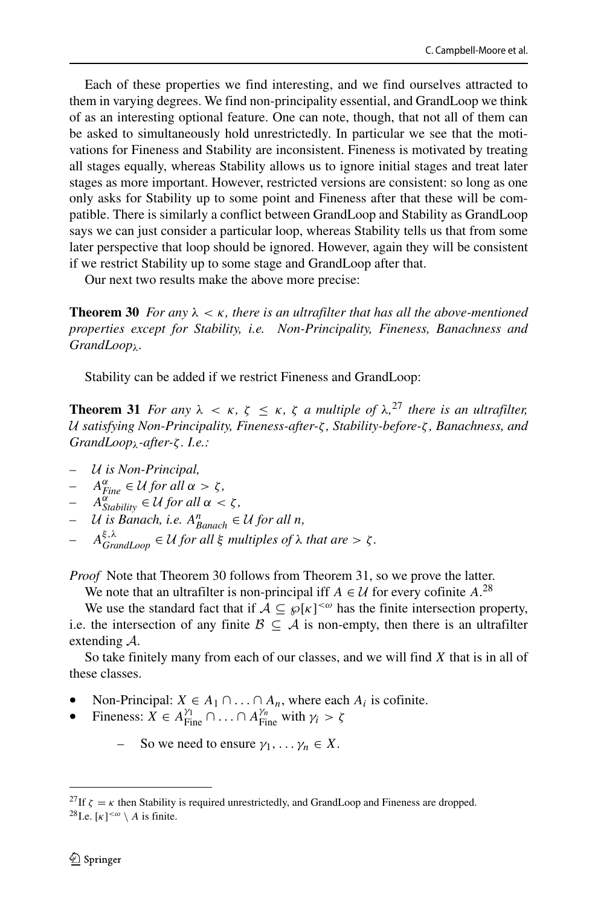Each of these properties we find interesting, and we find ourselves attracted to them in varying degrees. We find non-principality essential, and GrandLoop we think of as an interesting optional feature. One can note, though, that not all of them can be asked to simultaneously hold unrestrictedly. In particular we see that the motivations for Fineness and Stability are inconsistent. Fineness is motivated by treating all stages equally, whereas Stability allows us to ignore initial stages and treat later stages as more important. However, restricted versions are consistent: so long as one only asks for Stability up to some point and Fineness after that these will be compatible. There is similarly a conflict between GrandLoop and Stability as GrandLoop says we can just consider a particular loop, whereas Stability tells us that from some later perspective that loop should be ignored. However, again they will be consistent if we restrict Stability up to some stage and GrandLoop after that.

Our next two results make the above more precise:

**Theorem 30** *For any*  $\lambda < \kappa$ , there is an ultrafilter that has all the above-mentioned *properties except for Stability, i.e. Non-Principality, Fineness, Banachness and GrandLoopλ.*

Stability can be added if we restrict Fineness and GrandLoop:

**Theorem 31** *For any*  $\lambda < \kappa$ ,  $\zeta \leq \kappa$ ,  $\zeta$  *a multiple of*  $\lambda$ ,<sup>[27](#page-22-0)</sup> *there is an ultrafilter,* U *satisfying Non-Principality, Fineness-after-ζ , Stability-before-ζ , Banachness, and GrandLoopλ-after-ζ . I.e.:*

- *–* U *is Non-Principal,*
- *–*  $A^{\alpha}_{Fine}$  ∈ *U for all*  $\alpha > \zeta$ *,*
- $A^{\alpha}_{Stability} \in \mathcal{U}$  *for all*  $\alpha < \zeta$ ,
- $\cup$  *U is Banach, i.e.*  $A_{Banach}^n$  ∈ *U for all n,*
- $A_{GrandLoop}^{\xi, \lambda} \in \mathcal{U}$  *for all*  $\xi$  *multiples of*  $\lambda$  *that are*  $> \zeta$ *.*

*Proof* Note that Theorem 30 follows from Theorem 31, so we prove the latter.

We note that an ultrafilter is non-principal iff  $A \in \mathcal{U}$  for every cofinite  $A$ .<sup>[28](#page-22-1)</sup>

We use the standard fact that if  $A \subseteq \mathcal{G}[\kappa]^{<\omega}$  has the finite intersection property, i.e. the intersection of any finite  $\mathcal{B} \subseteq \mathcal{A}$  is non-empty, then there is an ultrafilter extending A.

So take finitely many from each of our classes, and we will find *X* that is in all of these classes.

- Non-Principal: *X* ∈ *A*<sub>1</sub> ∩ . . . ∩ *A*<sub>n</sub>, where each *A*<sub>i</sub> is cofinite.
- Fineness:  $\overline{X} \in A_{\text{Fire}}^{\gamma_1} \cap ... \cap A_{\text{Fire}}^{\gamma_n}$  with  $\gamma_i > \zeta$ 
	- So we need to ensure  $\gamma_1, \ldots, \gamma_n \in X$ .

<span id="page-22-1"></span><span id="page-22-0"></span><sup>&</sup>lt;sup>27</sup>If  $\zeta = \kappa$  then Stability is required unrestrictedly, and GrandLoop and Fineness are dropped. <sup>28</sup> I.e.  $\lceil \kappa \rceil^{\langle \omega \rangle}$  *A* is finite.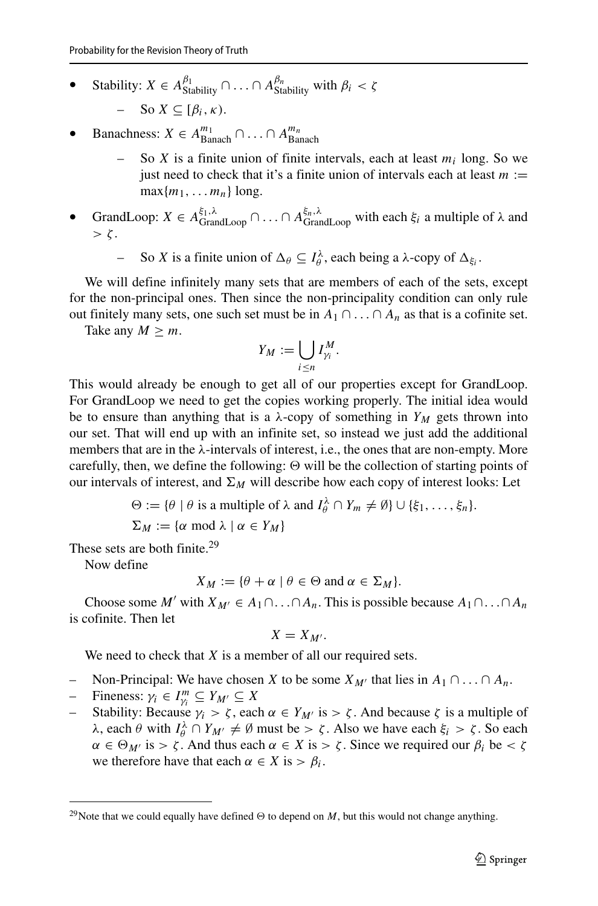• Stability: *X* ∈ *A* ${}^{\beta_1}_{Stability}$  ∩ ... ∩ *A* ${}^{\beta_n}_{Stability}$  with  $\beta_i < \zeta$ 

So  $X \subseteq [\beta_i, \kappa)$ .

- Banachness:  $X \in A_{\text{Banach}}^{m_1} \cap \ldots \cap A_{\text{Banach}}^{m_n}$ 
	- So *X* is a finite union of finite intervals, each at least  $m_i$  long. So we just need to check that it's a finite union of intervals each at least  $m :=$  $max{m_1, \ldots m_n}$  long.
- GrandLoop: *X* ∈ *A*<sup> $ξ_1, λ$ </sup>  $\cap$  *A*<sup> $ξ_n, λ$ </sup>  $\cap$  with each  $ξ_i$  a multiple of  $λ$  and  $> \zeta$ .
	- $-$  So *X* is a finite union of  $\Delta_{\theta}$  ⊆  $I_{\theta}^{\lambda}$ , each being a *λ*-copy of  $\Delta_{\xi_i}$ .

We will define infinitely many sets that are members of each of the sets, except for the non-principal ones. Then since the non-principality condition can only rule out finitely many sets, one such set must be in  $A_1 \cap \ldots \cap A_n$  as that is a cofinite set.

Take any  $M \geq m$ .

$$
Y_M := \bigcup_{i \leq n} I_{\gamma_i}^M.
$$

This would already be enough to get all of our properties except for GrandLoop. For GrandLoop we need to get the copies working properly. The initial idea would be to ensure than anything that is a  $\lambda$ -copy of something in  $Y_M$  gets thrown into our set. That will end up with an infinite set, so instead we just add the additional members that are in the *λ*-intervals of interest, i.e., the ones that are non-empty. More carefully, then, we define the following:  $\Theta$  will be the collection of starting points of our intervals of interest, and  $\Sigma_M$  will describe how each copy of interest looks: Let

$$
\Theta := \{ \theta \mid \theta \text{ is a multiple of } \lambda \text{ and } I_{\theta}^{\lambda} \cap Y_m \neq \emptyset \} \cup \{ \xi_1, \ldots, \xi_n \}.
$$
  

$$
\Sigma_M := \{ \alpha \text{ mod } \lambda \mid \alpha \in Y_M \}
$$

These sets are both finite.<sup>29</sup>

Now define

$$
X_M := \{ \theta + \alpha \mid \theta \in \Theta \text{ and } \alpha \in \Sigma_M \}.
$$

Choose some *M'* with  $X_{M'} \in A_1 \cap \ldots \cap A_n$ . This is possible because  $A_1 \cap \ldots \cap A_n$ is cofinite. Then let

$$
X=X_{M'}.
$$

We need to check that *X* is a member of all our required sets.

- Non-Principal: We have chosen *X* to be some  $X_{M'}$  that lies in  $A_1 \cap ... \cap A_n$ .<br>
− Fineness:  $\gamma_i \in I_{\alpha}^m \subset Y_{M'} \subset X$
- $-$  Fineness: *γi* ∈ *I*<sup>*m*</sup><sub>*γi*</sub> ⊆ *Y<sub>M'</sub>* ⊆ *X*
- Stability: Because *γ<sub>i</sub>* > *ζ*, each *α* ∈ *Y<sub>M'</sub>* is > *ζ*. And because *ζ* is a multiple of *λ*, each *θ* with *I*<sup>λ</sup><sub>*θ*</sub></sub> ∩ *Y<sub>M'</sub>*  $\neq$  Ø must be > *ζ*. Also we have each *ξ<sub>i</sub>* > *ζ*. So each  $\alpha \in \Theta_{M'}$  is  $> \zeta$ . And thus each  $\alpha \in X$  is  $> \zeta$ . Since we required our  $\beta_i$  be  $< \zeta$ we therefore have that each  $\alpha \in X$  is  $> \beta_i$ .

<span id="page-23-0"></span><sup>&</sup>lt;sup>29</sup>Note that we could equally have defined  $\Theta$  to depend on *M*, but this would not change anything.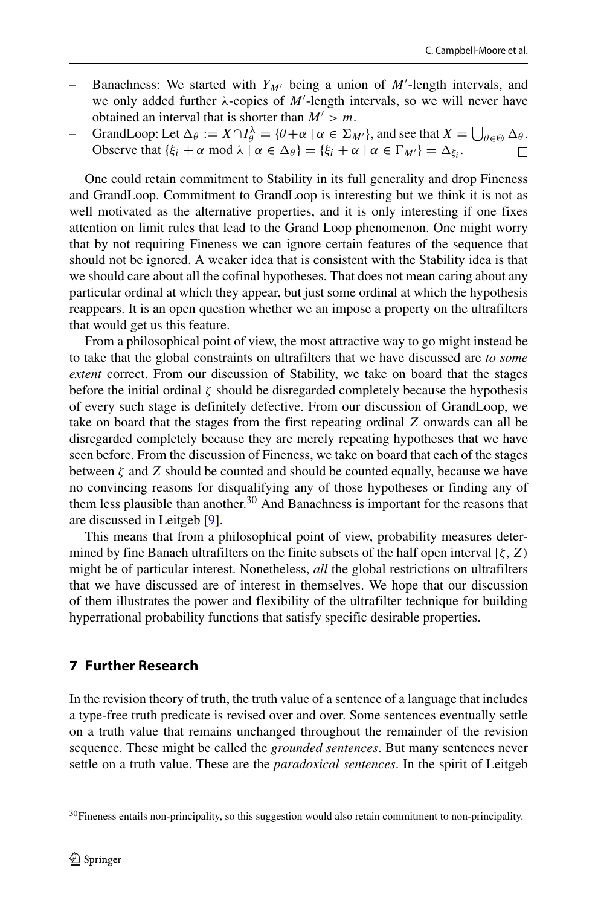- Banachness: We started with  $Y_{M'}$  being a union of M'-length intervals, and we only added further *λ*-copies of *M* -length intervals, so we will never have obtained an interval that is shorter than  $M' > m$ .
- *θ* + *α* | *α* ∈  $Σ<sub>M'</sub>$ }, and see that *X* =  $∪<sub>θ ∈ Θ</sub> Δ<sub>θ</sub>$ . Observe that  $\{\xi_i + \alpha \mod \lambda \mid \alpha \in \Delta_\theta\} = \{\xi_i + \alpha \mid \alpha \in \Gamma_{M'}\} = \Delta_{\xi_i}$ .

One could retain commitment to Stability in its full generality and drop Fineness and GrandLoop. Commitment to GrandLoop is interesting but we think it is not as well motivated as the alternative properties, and it is only interesting if one fixes attention on limit rules that lead to the Grand Loop phenomenon. One might worry that by not requiring Fineness we can ignore certain features of the sequence that should not be ignored. A weaker idea that is consistent with the Stability idea is that we should care about all the cofinal hypotheses. That does not mean caring about any particular ordinal at which they appear, but just some ordinal at which the hypothesis reappears. It is an open question whether we an impose a property on the ultrafilters that would get us this feature.

From a philosophical point of view, the most attractive way to go might instead be to take that the global constraints on ultrafilters that we have discussed are *to some extent* correct. From our discussion of Stability, we take on board that the stages before the initial ordinal *ζ* should be disregarded completely because the hypothesis of every such stage is definitely defective. From our discussion of GrandLoop, we take on board that the stages from the first repeating ordinal *Z* onwards can all be disregarded completely because they are merely repeating hypotheses that we have seen before. From the discussion of Fineness, we take on board that each of the stages between *ζ* and *Z* should be counted and should be counted equally, because we have no convincing reasons for disqualifying any of those hypotheses or finding any of them less plausible than another.<sup>30</sup> And Banachness is important for the reasons that are discussed in Leitgeb [\[9\]](#page-26-0).

This means that from a philosophical point of view, probability measures determined by fine Banach ultrafilters on the finite subsets of the half open interval [*ζ,Z)* might be of particular interest. Nonetheless, *all* the global restrictions on ultrafilters that we have discussed are of interest in themselves. We hope that our discussion of them illustrates the power and flexibility of the ultrafilter technique for building hyperrational probability functions that satisfy specific desirable properties.

## <span id="page-24-0"></span>**7 Further Research**

In the revision theory of truth, the truth value of a sentence of a language that includes a type-free truth predicate is revised over and over. Some sentences eventually settle on a truth value that remains unchanged throughout the remainder of the revision sequence. These might be called the *grounded sentences*. But many sentences never settle on a truth value. These are the *paradoxical sentences*. In the spirit of Leitgeb

<span id="page-24-1"></span><sup>&</sup>lt;sup>30</sup>Fineness entails non-principality, so this suggestion would also retain commitment to non-principality.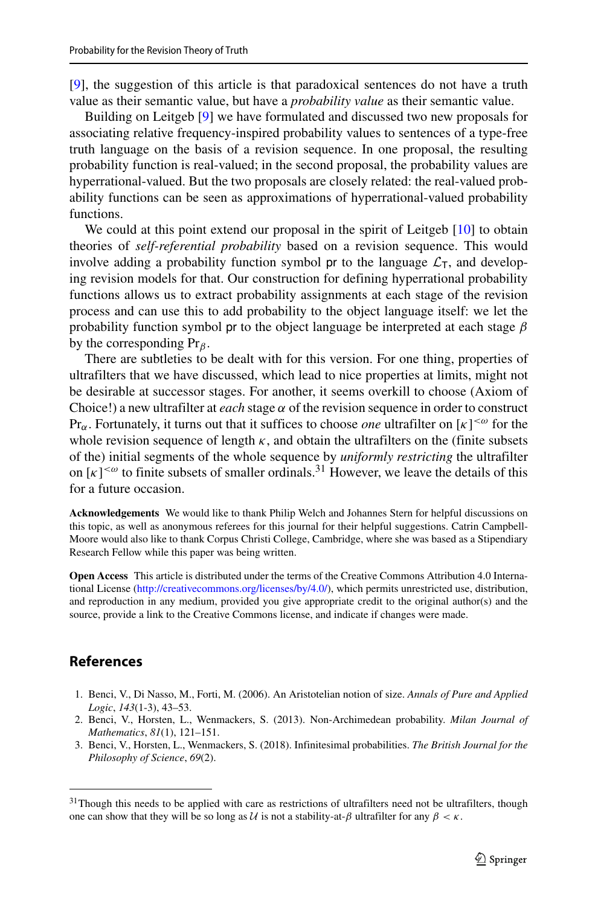[\[9\]](#page-26-0), the suggestion of this article is that paradoxical sentences do not have a truth value as their semantic value, but have a *probability value* as their semantic value.

Building on Leitgeb [\[9\]](#page-26-0) we have formulated and discussed two new proposals for associating relative frequency-inspired probability values to sentences of a type-free truth language on the basis of a revision sequence. In one proposal, the resulting probability function is real-valued; in the second proposal, the probability values are hyperrational-valued. But the two proposals are closely related: the real-valued probability functions can be seen as approximations of hyperrational-valued probability functions.

We could at this point extend our proposal in the spirit of Leitgeb [\[10\]](#page-26-1) to obtain theories of *self-referential probability* based on a revision sequence. This would involve adding a probability function symbol pr to the language  $\mathcal{L}_T$ , and developing revision models for that. Our construction for defining hyperrational probability functions allows us to extract probability assignments at each stage of the revision process and can use this to add probability to the object language itself: we let the probability function symbol pr to the object language be interpreted at each stage *β* by the corresponding Pr*β*.

There are subtleties to be dealt with for this version. For one thing, properties of ultrafilters that we have discussed, which lead to nice properties at limits, might not be desirable at successor stages. For another, it seems overkill to choose (Axiom of Choice!) a new ultrafilter at *each* stage  $\alpha$  of the revision sequence in order to construct Pr*α*. Fortunately, it turns out that it suffices to choose *one* ultrafilter on [*κ*] *<ω* for the whole revision sequence of length  $\kappa$ , and obtain the ultrafilters on the (finite subsets of the) initial segments of the whole sequence by *uniformly restricting* the ultrafilter on  $[\kappa]^{<\omega}$  to finite subsets of smaller ordinals.<sup>[31](#page-25-3)</sup> However, we leave the details of this for a future occasion.

**Acknowledgements** We would like to thank Philip Welch and Johannes Stern for helpful discussions on this topic, as well as anonymous referees for this journal for their helpful suggestions. Catrin Campbell-Moore would also like to thank Corpus Christi College, Cambridge, where she was based as a Stipendiary Research Fellow while this paper was being written.

**Open Access** This article is distributed under the terms of the Creative Commons Attribution 4.0 International License [\(http://creativecommons.org/licenses/by/4.0/\)](http://creativecommons.org/licenses/by/4.0/), which permits unrestricted use, distribution, and reproduction in any medium, provided you give appropriate credit to the original author(s) and the source, provide a link to the Creative Commons license, and indicate if changes were made.

## **References**

- <span id="page-25-2"></span>1. Benci, V., Di Nasso, M., Forti, M. (2006). An Aristotelian notion of size. *Annals of Pure and Applied Logic*, *143*(1-3), 43–53.
- <span id="page-25-1"></span>2. Benci, V., Horsten, L., Wenmackers, S. (2013). Non-Archimedean probability. *Milan Journal of Mathematics*, *81*(1), 121–151.
- <span id="page-25-0"></span>3. Benci, V., Horsten, L., Wenmackers, S. (2018). Infinitesimal probabilities. *The British Journal for the Philosophy of Science*, *69*(2).

<span id="page-25-3"></span><sup>&</sup>lt;sup>31</sup>Though this needs to be applied with care as restrictions of ultrafilters need not be ultrafilters, though one can show that they will be so long as U is not a stability-at- $\beta$  ultrafilter for any  $\beta < \kappa$ .